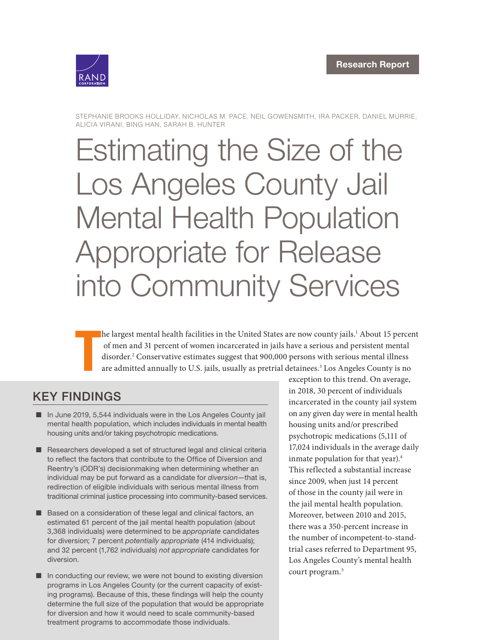

STEPHANIE BROOKS HOLLIDAY, NICHOLAS M. PACE, NEIL GOWENSMITH, IRA PACKER, DANIEL MURRIE, ALICIA VIRANI, BING HAN, SARAH B. HUNTER

# [Estimating the Size of the](https://www.rand.org/pubs/research_reports/RR4328.html)  Los Angeles County Jail Mental Health Population Appropriate for Release into Community Services

T he largest mental health facilities in the United States are now county jails.<sup>1</sup> About 15 percent of men and 31 percent of women incarcerated in jails have a serious and persistent mental disorder.2 Conservative estimates suggest that 900,000 persons with serious mental illness are admitted annually to U.S. jails, usually as pretrial detainees.<sup>3</sup> Los Angeles County is no

# KEY FINDINGS

- In June 2019, 5,544 individuals were in the Los Angeles County jail mental health population, which includes individuals in mental health housing units and/or taking psychotropic medications.
- Researchers developed a set of structured legal and clinical criteria to reflect the factors that contribute to the Office of Diversion and Reentry's (ODR's) decisionmaking when determining whether an individual may be put forward as a candidate for *diversion*—that is, redirection of eligible individuals with serious mental illness from traditional criminal justice processing into community-based services.
- Based on a consideration of these legal and clinical factors, an estimated 61 percent of the jail mental health population (about 3,368 individuals) were determined to be *appropriate* candidates for diversion; 7 percent *potentially appropriate* (414 individuals); and 32 percent (1,762 individuals) *not appropriate* candidates for diversion.
- In conducting our review, we were not bound to existing diversion programs in Los Angeles County (or the current capacity of existing programs). Because of this, these findings will help the county determine the full size of the population that would be appropriate for diversion and how it would need to scale community-based treatment programs to accommodate those individuals.

exception to this trend. On average, in 2018, 30 percent of individuals incarcerated in the county jail system on any given day were in mental health housing units and/or prescribed psychotropic medications (5,111 of 17,024 individuals in the average daily inmate population for that year). $4$ This reflected a substantial increase since 2009, when just 14 percent of those in the county jail were in the jail mental health population. Moreover, between 2010 and 2015, there was a 350-percent increase in the number of incompetent-to-standtrial cases referred to Department 95, Los Angeles County's mental health court program.<sup>5</sup>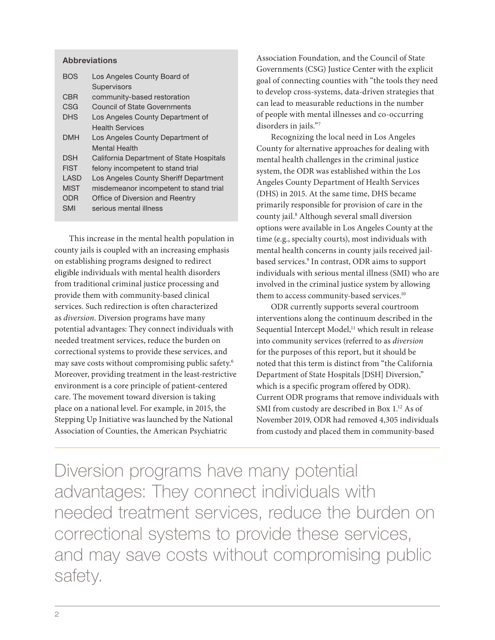#### **Abbreviations**

| <b>BOS</b>  | Los Angeles County Board of              |
|-------------|------------------------------------------|
|             | Supervisors                              |
| <b>CBR</b>  | community-based restoration              |
| CSG         | <b>Council of State Governments</b>      |
| <b>DHS</b>  | Los Angeles County Department of         |
|             | <b>Health Services</b>                   |
| DMH         | Los Angeles County Department of         |
|             | Mental Health                            |
| <b>DSH</b>  | California Department of State Hospitals |
| <b>FIST</b> | felony incompetent to stand trial        |
| LASD        | Los Angeles County Sheriff Department    |
| <b>MIST</b> | misdemeanor incompetent to stand trial   |
| ODR         | Office of Diversion and Reentry          |
| SMI         | serious mental illness                   |
|             |                                          |

This increase in the mental health population in county jails is coupled with an increasing emphasis on establishing programs designed to redirect eligible individuals with mental health disorders from traditional criminal justice processing and provide them with community-based clinical services. Such redirection is often characterized as *diversion*. Diversion programs have many potential advantages: They connect individuals with needed treatment services, reduce the burden on correctional systems to provide these services, and may save costs without compromising public safety.6 Moreover, providing treatment in the least-restrictive environment is a core principle of patient-centered care. The movement toward diversion is taking place on a national level. For example, in 2015, the Stepping Up Initiative was launched by the National Association of Counties, the American Psychiatric

Association Foundation, and the Council of State Governments (CSG) Justice Center with the explicit goal of connecting counties with "the tools they need to develop cross-systems, data-driven strategies that can lead to measurable reductions in the number of people with mental illnesses and co-occurring disorders in jails."7

Recognizing the local need in Los Angeles County for alternative approaches for dealing with mental health challenges in the criminal justice system, the ODR was established within the Los Angeles County Department of Health Services (DHS) in 2015. At the same time, DHS became primarily responsible for provision of care in the county jail.8 Although several small diversion options were available in Los Angeles County at the time (e.g., specialty courts), most individuals with mental health concerns in county jails received jailbased services.9 In contrast, ODR aims to support individuals with serious mental illness (SMI) who are involved in the criminal justice system by allowing them to access community-based services.<sup>10</sup>

ODR currently supports several courtroom interventions along the continuum described in the Sequential Intercept Model,<sup>11</sup> which result in release into community services (referred to as *diversion*  for the purposes of this report, but it should be noted that this term is distinct from "the California Department of State Hospitals [DSH] Diversion," which is a specific program offered by ODR). Current ODR programs that remove individuals with SMI from custody are described in Box 1.<sup>12</sup> As of November 2019, ODR had removed 4,305 individuals from custody and placed them in community-based

Diversion programs have many potential advantages: They connect individuals with needed treatment services, reduce the burden on correctional systems to provide these services, and may save costs without compromising public safety.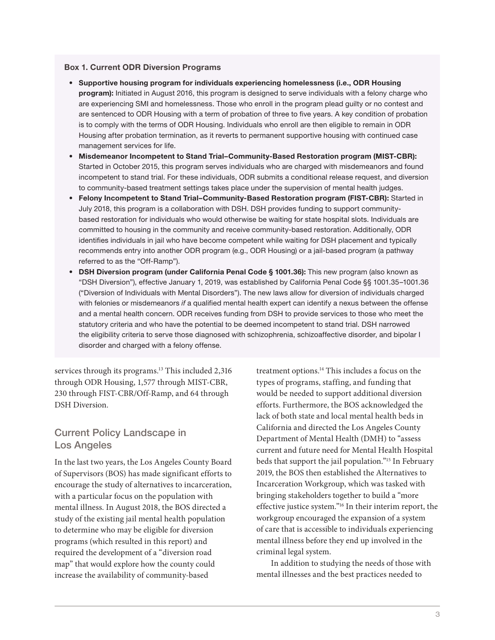#### Box 1. Current ODR Diversion Programs

- Supportive housing program for individuals experiencing homelessness (i.e., ODR Housing program): Initiated in August 2016, this program is designed to serve individuals with a felony charge who are experiencing SMI and homelessness. Those who enroll in the program plead guilty or no contest and are sentenced to ODR Housing with a term of probation of three to five years. A key condition of probation is to comply with the terms of ODR Housing. Individuals who enroll are then eligible to remain in ODR Housing after probation termination, as it reverts to permanent supportive housing with continued case management services for life.
- Misdemeanor Incompetent to Stand Trial–Community-Based Restoration program (MIST-CBR): Started in October 2015, this program serves individuals who are charged with misdemeanors and found incompetent to stand trial. For these individuals, ODR submits a conditional release request, and diversion to community-based treatment settings takes place under the supervision of mental health judges.
- Felony Incompetent to Stand Trial–Community-Based Restoration program (FIST-CBR): Started in July 2018, this program is a collaboration with DSH. DSH provides funding to support communitybased restoration for individuals who would otherwise be waiting for state hospital slots. Individuals are committed to housing in the community and receive community-based restoration. Additionally, ODR identifies individuals in jail who have become competent while waiting for DSH placement and typically recommends entry into another ODR program (e.g., ODR Housing) or a jail-based program (a pathway referred to as the "Off-Ramp").
- DSH Diversion program (under California Penal Code § 1001.36): This new program (also known as "DSH Diversion"), effective January 1, 2019, was established by California Penal Code §§ 1001.35–1001.36 ("Diversion of Individuals with Mental Disorders"). The new laws allow for diversion of individuals charged with felonies or misdemeanors *if* a qualified mental health expert can identify a nexus between the offense and a mental health concern. ODR receives funding from DSH to provide services to those who meet the statutory criteria and who have the potential to be deemed incompetent to stand trial. DSH narrowed the eligibility criteria to serve those diagnosed with schizophrenia, schizoaffective disorder, and bipolar I disorder and charged with a felony offense.

services through its programs.<sup>13</sup> This included 2,316 through ODR Housing, 1,577 through MIST-CBR, 230 through FIST-CBR/Off-Ramp, and 64 through DSH Diversion.

#### Current Policy Landscape in Los Angeles

In the last two years, the Los Angeles County Board of Supervisors (BOS) has made significant efforts to encourage the study of alternatives to incarceration, with a particular focus on the population with mental illness. In August 2018, the BOS directed a study of the existing jail mental health population to determine who may be eligible for diversion programs (which resulted in this report) and required the development of a "diversion road map" that would explore how the county could increase the availability of community-based

treatment options.<sup>14</sup> This includes a focus on the types of programs, staffing, and funding that would be needed to support additional diversion efforts. Furthermore, the BOS acknowledged the lack of both state and local mental health beds in California and directed the Los Angeles County Department of Mental Health (DMH) to "assess current and future need for Mental Health Hospital beds that support the jail population."15 In February 2019, the BOS then established the Alternatives to Incarceration Workgroup, which was tasked with bringing stakeholders together to build a "more effective justice system."16 In their interim report, the workgroup encouraged the expansion of a system of care that is accessible to individuals experiencing mental illness before they end up involved in the criminal legal system.

In addition to studying the needs of those with mental illnesses and the best practices needed to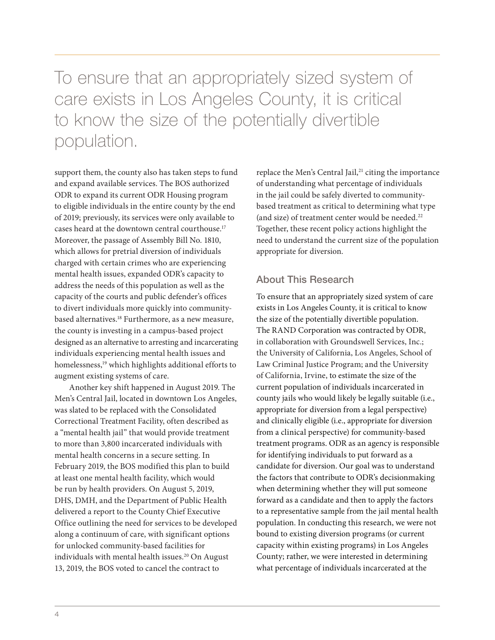To ensure that an appropriately sized system of care exists in Los Angeles County, it is critical to know the size of the potentially divertible population.

support them, the county also has taken steps to fund and expand available services. The BOS authorized ODR to expand its current ODR Housing program to eligible individuals in the entire county by the end of 2019; previously, its services were only available to cases heard at the downtown central courthouse.17 Moreover, the passage of Assembly Bill No. 1810, which allows for pretrial diversion of individuals charged with certain crimes who are experiencing mental health issues, expanded ODR's capacity to address the needs of this population as well as the capacity of the courts and public defender's offices to divert individuals more quickly into communitybased alternatives.<sup>18</sup> Furthermore, as a new measure, the county is investing in a campus-based project designed as an alternative to arresting and incarcerating individuals experiencing mental health issues and homelessness,<sup>19</sup> which highlights additional efforts to augment existing systems of care.

Another key shift happened in August 2019. The Men's Central Jail, located in downtown Los Angeles, was slated to be replaced with the Consolidated Correctional Treatment Facility, often described as a "mental health jail" that would provide treatment to more than 3,800 incarcerated individuals with mental health concerns in a secure setting. In February 2019, the BOS modified this plan to build at least one mental health facility, which would be run by health providers. On August 5, 2019, DHS, DMH, and the Department of Public Health delivered a report to the County Chief Executive Office outlining the need for services to be developed along a continuum of care, with significant options for unlocked community-based facilities for individuals with mental health issues.<sup>20</sup> On August 13, 2019, the BOS voted to cancel the contract to

replace the Men's Central Jail,<sup>21</sup> citing the importance of understanding what percentage of individuals in the jail could be safely diverted to communitybased treatment as critical to determining what type (and size) of treatment center would be needed.22 Together, these recent policy actions highlight the need to understand the current size of the population appropriate for diversion.

#### About This Research

To ensure that an appropriately sized system of care exists in Los Angeles County, it is critical to know the size of the potentially divertible population. The RAND Corporation was contracted by ODR, in collaboration with Groundswell Services, Inc.; the University of California, Los Angeles, School of Law Criminal Justice Program; and the University of California, Irvine, to estimate the size of the current population of individuals incarcerated in county jails who would likely be legally suitable (i.e., appropriate for diversion from a legal perspective) and clinically eligible (i.e., appropriate for diversion from a clinical perspective) for community-based treatment programs. ODR as an agency is responsible for identifying individuals to put forward as a candidate for diversion. Our goal was to understand the factors that contribute to ODR's decisionmaking when determining whether they will put someone forward as a candidate and then to apply the factors to a representative sample from the jail mental health population. In conducting this research, we were not bound to existing diversion programs (or current capacity within existing programs) in Los Angeles County; rather, we were interested in determining what percentage of individuals incarcerated at the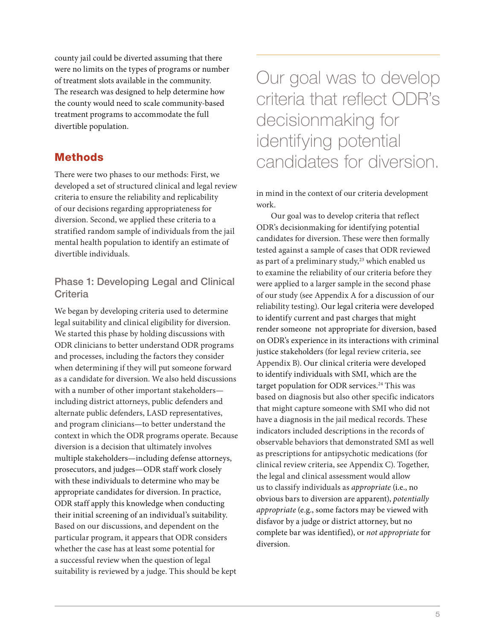county jail could be diverted assuming that there were no limits on the types of programs or number of treatment slots available in the community. The research was designed to help determine how the county would need to scale community-based treatment programs to accommodate the full divertible population.

# **Methods**

There were two phases to our methods: First, we developed a set of structured clinical and legal review criteria to ensure the reliability and replicability of our decisions regarding appropriateness for diversion. Second, we applied these criteria to a stratified random sample of individuals from the jail mental health population to identify an estimate of divertible individuals.

# Phase 1: Developing Legal and Clinical **Criteria**

We began by developing criteria used to determine legal suitability and clinical eligibility for diversion. We started this phase by holding discussions with ODR clinicians to better understand ODR programs and processes, including the factors they consider when determining if they will put someone forward as a candidate for diversion. We also held discussions with a number of other important stakeholders including district attorneys, public defenders and alternate public defenders, LASD representatives, and program clinicians—to better understand the context in which the ODR programs operate. Because diversion is a decision that ultimately involves multiple stakeholders—including defense attorneys, prosecutors, and judges—ODR staff work closely with these individuals to determine who may be appropriate candidates for diversion. In practice, ODR staff apply this knowledge when conducting their initial screening of an individual's suitability. Based on our discussions, and dependent on the particular program, it appears that ODR considers whether the case has at least some potential for a successful review when the question of legal suitability is reviewed by a judge. This should be kept

Our goal was to develop criteria that reflect ODR's decisionmaking for identifying potential candidates for diversion.

in mind in the context of our criteria development work.

Our goal was to develop criteria that reflect ODR's decisionmaking for identifying potential candidates for diversion. These were then formally tested against a sample of cases that ODR reviewed as part of a preliminary study,<sup>23</sup> which enabled us to examine the reliability of our criteria before they were applied to a larger sample in the second phase of our study (see Appendix A for a discussion of our reliability testing). Our legal criteria were developed to identify current and past charges that might render someone not appropriate for diversion, based on ODR's experience in its interactions with criminal justice stakeholders (for legal review criteria, see Appendix B). Our clinical criteria were developed to identify individuals with SMI, which are the target population for ODR services.<sup>24</sup> This was based on diagnosis but also other specific indicators that might capture someone with SMI who did not have a diagnosis in the jail medical records. These indicators included descriptions in the records of observable behaviors that demonstrated SMI as well as prescriptions for antipsychotic medications (for clinical review criteria, see Appendix C). Together, the legal and clinical assessment would allow us to classify individuals as *appropriate* (i.e., no obvious bars to diversion are apparent), *potentially appropriate* (e.g., some factors may be viewed with disfavor by a judge or district attorney, but no complete bar was identified), or *not appropriate* for diversion.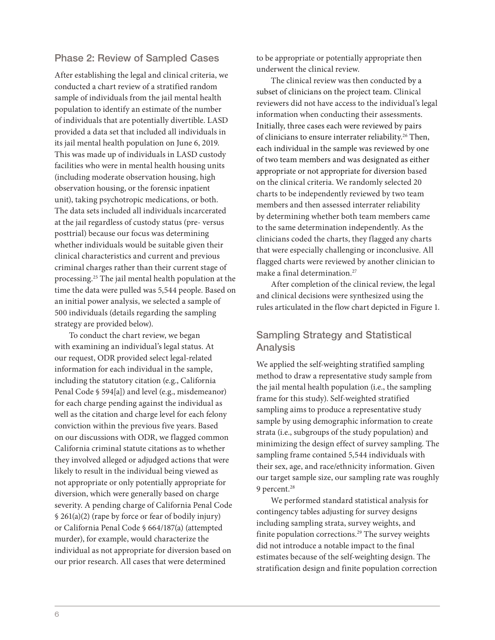#### Phase 2: Review of Sampled Cases

After establishing the legal and clinical criteria, we conducted a chart review of a stratified random sample of individuals from the jail mental health population to identify an estimate of the number of individuals that are potentially divertible. LASD provided a data set that included all individuals in its jail mental health population on June 6, 2019. This was made up of individuals in LASD custody facilities who were in mental health housing units (including moderate observation housing, high observation housing, or the forensic inpatient unit), taking psychotropic medications, or both. The data sets included all individuals incarcerated at the jail regardless of custody status (pre- versus posttrial) because our focus was determining whether individuals would be suitable given their clinical characteristics and current and previous criminal charges rather than their current stage of processing.25 The jail mental health population at the time the data were pulled was 5,544 people. Based on an initial power analysis, we selected a sample of 500 individuals (details regarding the sampling strategy are provided below).

To conduct the chart review, we began with examining an individual's legal status. At our request, ODR provided select legal-related information for each individual in the sample, including the statutory citation (e.g., California Penal Code § 594[a]) and level (e.g., misdemeanor) for each charge pending against the individual as well as the citation and charge level for each felony conviction within the previous five years. Based on our discussions with ODR, we flagged common California criminal statute citations as to whether they involved alleged or adjudged actions that were likely to result in the individual being viewed as not appropriate or only potentially appropriate for diversion, which were generally based on charge severity. A pending charge of California Penal Code § 261(a)(2) (rape by force or fear of bodily injury) or California Penal Code § 664/187(a) (attempted murder), for example, would characterize the individual as not appropriate for diversion based on our prior research. All cases that were determined

to be appropriate or potentially appropriate then underwent the clinical review.

The clinical review was then conducted by a subset of clinicians on the project team. Clinical reviewers did not have access to the individual's legal information when conducting their assessments. Initially, three cases each were reviewed by pairs of clinicians to ensure interrater reliability.<sup>26</sup> Then, each individual in the sample was reviewed by one of two team members and was designated as either appropriate or not appropriate for diversion based on the clinical criteria. We randomly selected 20 charts to be independently reviewed by two team members and then assessed interrater reliability by determining whether both team members came to the same determination independently. As the clinicians coded the charts, they flagged any charts that were especially challenging or inconclusive. All flagged charts were reviewed by another clinician to make a final determination.<sup>27</sup>

After completion of the clinical review, the legal and clinical decisions were synthesized using the rules articulated in the flow chart depicted in Figure 1.

#### Sampling Strategy and Statistical Analysis

We applied the self-weighting stratified sampling method to draw a representative study sample from the jail mental health population (i.e., the sampling frame for this study). Self-weighted stratified sampling aims to produce a representative study sample by using demographic information to create strata (i.e., subgroups of the study population) and minimizing the design effect of survey sampling. The sampling frame contained 5,544 individuals with their sex, age, and race/ethnicity information. Given our target sample size, our sampling rate was roughly 9 percent.<sup>28</sup>

We performed standard statistical analysis for contingency tables adjusting for survey designs including sampling strata, survey weights, and finite population corrections.<sup>29</sup> The survey weights did not introduce a notable impact to the final estimates because of the self-weighting design. The stratification design and finite population correction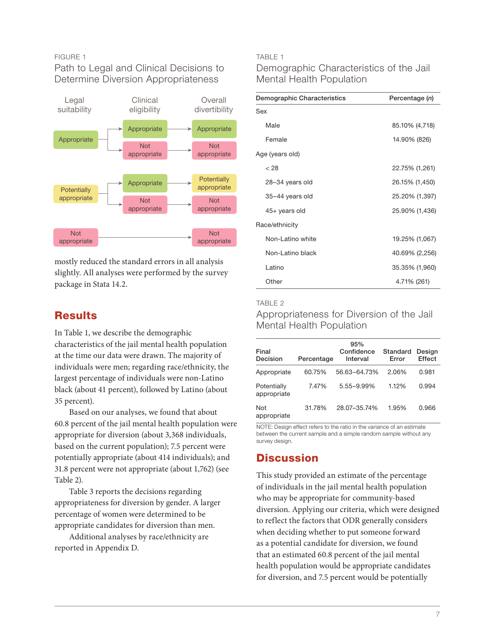#### FIGURE 1

#### Path to Legal and Clinical Decisions to Determine Diversion Appropriateness



mostly reduced the standard errors in all analysis slightly. All analyses were performed by the survey package in Stata 14.2.

# **Results**

In Table 1, we describe the demographic characteristics of the jail mental health population at the time our data were drawn. The majority of individuals were men; regarding race/ethnicity, the largest percentage of individuals were non-Latino black (about 41 percent), followed by Latino (about 35 percent).

Based on our analyses, we found that about 60.8 percent of the jail mental health population were appropriate for diversion (about 3,368 individuals, based on the current population); 7.5 percent were potentially appropriate (about 414 individuals); and 31.8 percent were not appropriate (about 1,762) (see Table 2).

Table 3 reports the decisions regarding appropriateness for diversion by gender. A larger percentage of women were determined to be appropriate candidates for diversion than men.

Additional analyses by race/ethnicity are reported in Appendix D.

#### TABLE 1

### Demographic Characteristics of the Jail Mental Health Population

| Demographic Characteristics | Percentage (n) |
|-----------------------------|----------------|
| Sex                         |                |
| Male                        | 85.10% (4,718) |
| Female                      | 14.90% (826)   |
| Age (years old)             |                |
| < 28                        | 22.75% (1,261) |
| 28-34 years old             | 26.15% (1,450) |
| 35-44 years old             | 25.20% (1,397) |
| 45+ years old               | 25.90% (1,436) |
| Race/ethnicity              |                |
| Non-Latino white            | 19.25% (1,067) |
| Non-Latino black            | 40.69% (2,256) |
| Latino                      | 35.35% (1,960) |
| Other                       | 4.71% (261)    |

#### TABLE 2

Appropriateness for Diversion of the Jail Mental Health Population

| Final<br>Decision          | Percentage | 95%<br>Confidence<br>Interval | Standard<br>Error | Design<br>Effect |
|----------------------------|------------|-------------------------------|-------------------|------------------|
| Appropriate                | 60.75%     | 56.63-64.73%                  | 2.06%             | 0.981            |
| Potentially<br>appropriate | 7.47%      | 5.55-9.99%                    | 1.12%             | 0.994            |
| Not<br>appropriate         | 31.78%     | 28.07-35.74%                  | 1.95%             | 0.966            |

NOTE: Design effect refers to the ratio in the variance of an estimate between the current sample and a simple random sample without any survey design.

# **Discussion**

This study provided an estimate of the percentage of individuals in the jail mental health population who may be appropriate for community-based diversion. Applying our criteria, which were designed to reflect the factors that ODR generally considers when deciding whether to put someone forward as a potential candidate for diversion, we found that an estimated 60.8 percent of the jail mental health population would be appropriate candidates for diversion, and 7.5 percent would be potentially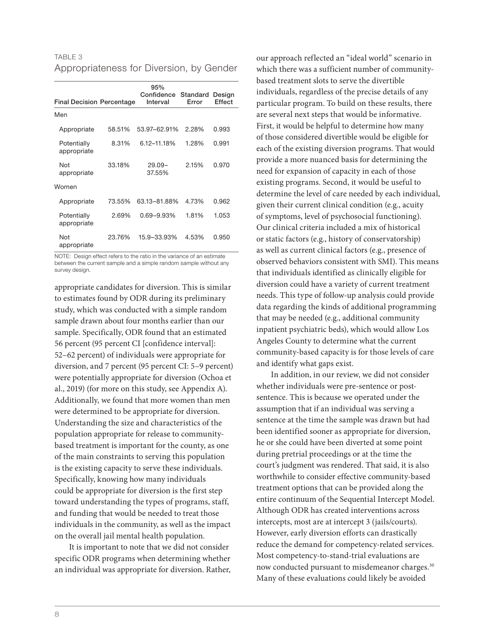| TABLE 3                                  |  |  |
|------------------------------------------|--|--|
| Appropriateness for Diversion, by Gender |  |  |

| <b>Final Decision Percentage</b> |        | 95%<br>Confidence<br>Interval | Standard<br>Error | Design<br><b>Effect</b> |
|----------------------------------|--------|-------------------------------|-------------------|-------------------------|
| Men                              |        |                               |                   |                         |
| Appropriate                      | 58.51% | 53.97-62.91%                  | 2.28%             | 0.993                   |
| Potentially<br>appropriate       | 8.31%  | 6.12-11.18%                   | 1.28%             | 0.991                   |
| Not<br>appropriate               | 33.18% | $29.09 -$<br>37.55%           | 2.15%             | 0.970                   |
| Women                            |        |                               |                   |                         |
| Appropriate                      | 73.55% | 63.13-81.88%                  | 4.73%             | 0.962                   |
| Potentially<br>appropriate       | 2.69%  | $0.69 - 9.93\%$               | 1.81%             | 1.053                   |
| Not<br>appropriate               | 23.76% | 15.9-33.93%                   | 4.53%             | 0.950                   |

NOTE: Design effect refers to the ratio in the variance of an estimate between the current sample and a simple random sample without any survey design.

appropriate candidates for diversion. This is similar to estimates found by ODR during its preliminary study, which was conducted with a simple random sample drawn about four months earlier than our sample. Specifically, ODR found that an estimated 56 percent (95 percent CI [confidence interval]: 52–62 percent) of individuals were appropriate for diversion, and 7 percent (95 percent CI: 5–9 percent) were potentially appropriate for diversion (Ochoa et al., 2019) (for more on this study, see Appendix A). Additionally, we found that more women than men were determined to be appropriate for diversion. Understanding the size and characteristics of the population appropriate for release to communitybased treatment is important for the county, as one of the main constraints to serving this population is the existing capacity to serve these individuals. Specifically, knowing how many individuals could be appropriate for diversion is the first step toward understanding the types of programs, staff, and funding that would be needed to treat those individuals in the community, as well as the impact on the overall jail mental health population.

It is important to note that we did not consider specific ODR programs when determining whether an individual was appropriate for diversion. Rather, our approach reflected an "ideal world" scenario in which there was a sufficient number of communitybased treatment slots to serve the divertible individuals, regardless of the precise details of any particular program. To build on these results, there are several next steps that would be informative. First, it would be helpful to determine how many of those considered divertible would be eligible for each of the existing diversion programs. That would provide a more nuanced basis for determining the need for expansion of capacity in each of those existing programs. Second, it would be useful to determine the level of care needed by each individual, given their current clinical condition (e.g., acuity of symptoms, level of psychosocial functioning). Our clinical criteria included a mix of historical or static factors (e.g., history of conservatorship) as well as current clinical factors (e.g., presence of observed behaviors consistent with SMI). This means that individuals identified as clinically eligible for diversion could have a variety of current treatment needs. This type of follow-up analysis could provide data regarding the kinds of additional programming that may be needed (e.g., additional community inpatient psychiatric beds), which would allow Los Angeles County to determine what the current community-based capacity is for those levels of care and identify what gaps exist.

In addition, in our review, we did not consider whether individuals were pre-sentence or postsentence. This is because we operated under the assumption that if an individual was serving a sentence at the time the sample was drawn but had been identified sooner as appropriate for diversion, he or she could have been diverted at some point during pretrial proceedings or at the time the court's judgment was rendered. That said, it is also worthwhile to consider effective community-based treatment options that can be provided along the entire continuum of the Sequential Intercept Model. Although ODR has created interventions across intercepts, most are at intercept 3 (jails/courts). However, early diversion efforts can drastically reduce the demand for competency-related services. Most competency-to-stand-trial evaluations are now conducted pursuant to misdemeanor charges.<sup>30</sup> Many of these evaluations could likely be avoided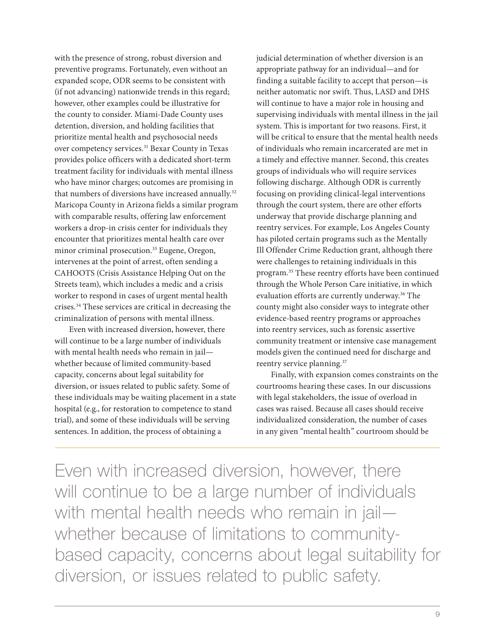with the presence of strong, robust diversion and preventive programs. Fortunately, even without an expanded scope, ODR seems to be consistent with (if not advancing) nationwide trends in this regard; however, other examples could be illustrative for the county to consider. Miami-Dade County uses detention, diversion, and holding facilities that prioritize mental health and psychosocial needs over competency services.<sup>31</sup> Bexar County in Texas provides police officers with a dedicated short-term treatment facility for individuals with mental illness who have minor charges; outcomes are promising in that numbers of diversions have increased annually.<sup>32</sup> Maricopa County in Arizona fields a similar program with comparable results, offering law enforcement workers a drop-in crisis center for individuals they encounter that prioritizes mental health care over minor criminal prosecution.<sup>33</sup> Eugene, Oregon, intervenes at the point of arrest, often sending a CAHOOTS (Crisis Assistance Helping Out on the Streets team), which includes a medic and a crisis worker to respond in cases of urgent mental health crises.34 These services are critical in decreasing the criminalization of persons with mental illness.

Even with increased diversion, however, there will continue to be a large number of individuals with mental health needs who remain in jail whether because of limited community-based capacity, concerns about legal suitability for diversion, or issues related to public safety. Some of these individuals may be waiting placement in a state hospital (e.g., for restoration to competence to stand trial), and some of these individuals will be serving sentences. In addition, the process of obtaining a

judicial determination of whether diversion is an appropriate pathway for an individual—and for finding a suitable facility to accept that person—is neither automatic nor swift. Thus, LASD and DHS will continue to have a major role in housing and supervising individuals with mental illness in the jail system. This is important for two reasons. First, it will be critical to ensure that the mental health needs of individuals who remain incarcerated are met in a timely and effective manner. Second, this creates groups of individuals who will require services following discharge. Although ODR is currently focusing on providing clinical-legal interventions through the court system, there are other efforts underway that provide discharge planning and reentry services. For example, Los Angeles County has piloted certain programs such as the Mentally Ill Offender Crime Reduction grant, although there were challenges to retaining individuals in this program.35 These reentry efforts have been continued through the Whole Person Care initiative, in which evaluation efforts are currently underway.<sup>36</sup> The county might also consider ways to integrate other evidence-based reentry programs or approaches into reentry services, such as forensic assertive community treatment or intensive case management models given the continued need for discharge and reentry service planning.<sup>37</sup>

Finally, with expansion comes constraints on the courtrooms hearing these cases. In our discussions with legal stakeholders, the issue of overload in cases was raised. Because all cases should receive individualized consideration, the number of cases in any given "mental health" courtroom should be

Even with increased diversion, however, there will continue to be a large number of individuals with mental health needs who remain in jail whether because of limitations to communitybased capacity, concerns about legal suitability for diversion, or issues related to public safety.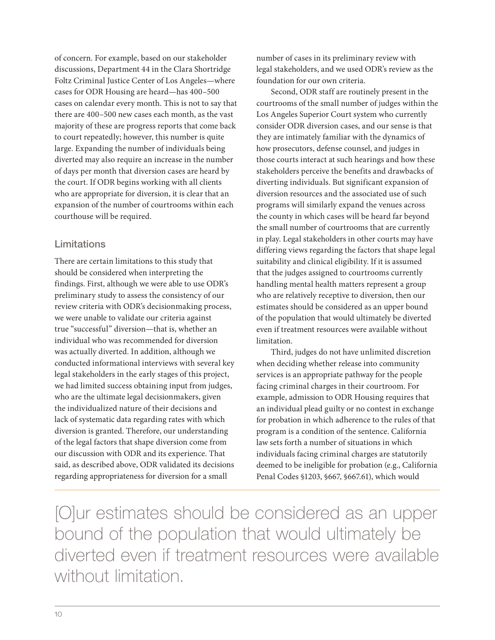of concern. For example, based on our stakeholder discussions, Department 44 in the Clara Shortridge Foltz Criminal Justice Center of Los Angeles—where cases for ODR Housing are heard—has 400–500 cases on calendar every month. This is not to say that there are 400–500 new cases each month, as the vast majority of these are progress reports that come back to court repeatedly; however, this number is quite large. Expanding the number of individuals being diverted may also require an increase in the number of days per month that diversion cases are heard by the court. If ODR begins working with all clients who are appropriate for diversion, it is clear that an expansion of the number of courtrooms within each courthouse will be required.

#### Limitations

There are certain limitations to this study that should be considered when interpreting the findings. First, although we were able to use ODR's preliminary study to assess the consistency of our review criteria with ODR's decisionmaking process, we were unable to validate our criteria against true "successful" diversion—that is, whether an individual who was recommended for diversion was actually diverted. In addition, although we conducted informational interviews with several key legal stakeholders in the early stages of this project, we had limited success obtaining input from judges, who are the ultimate legal decisionmakers, given the individualized nature of their decisions and lack of systematic data regarding rates with which diversion is granted. Therefore, our understanding of the legal factors that shape diversion come from our discussion with ODR and its experience. That said, as described above, ODR validated its decisions regarding appropriateness for diversion for a small

number of cases in its preliminary review with legal stakeholders, and we used ODR's review as the foundation for our own criteria.

Second, ODR staff are routinely present in the courtrooms of the small number of judges within the Los Angeles Superior Court system who currently consider ODR diversion cases, and our sense is that they are intimately familiar with the dynamics of how prosecutors, defense counsel, and judges in those courts interact at such hearings and how these stakeholders perceive the benefits and drawbacks of diverting individuals. But significant expansion of diversion resources and the associated use of such programs will similarly expand the venues across the county in which cases will be heard far beyond the small number of courtrooms that are currently in play. Legal stakeholders in other courts may have differing views regarding the factors that shape legal suitability and clinical eligibility. If it is assumed that the judges assigned to courtrooms currently handling mental health matters represent a group who are relatively receptive to diversion, then our estimates should be considered as an upper bound of the population that would ultimately be diverted even if treatment resources were available without limitation.

Third, judges do not have unlimited discretion when deciding whether release into community services is an appropriate pathway for the people facing criminal charges in their courtroom. For example, admission to ODR Housing requires that an individual plead guilty or no contest in exchange for probation in which adherence to the rules of that program is a condition of the sentence. California law sets forth a number of situations in which individuals facing criminal charges are statutorily deemed to be ineligible for probation (e.g., California Penal Codes §1203, §667, §667.61), which would

[O]ur estimates should be considered as an upper bound of the population that would ultimately be diverted even if treatment resources were available without limitation.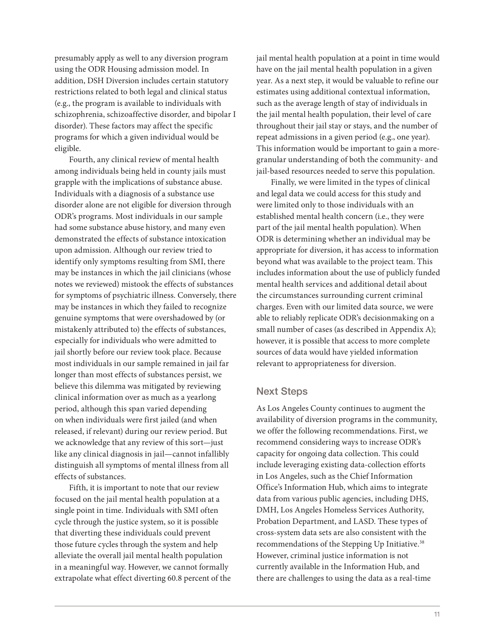presumably apply as well to any diversion program using the ODR Housing admission model. In addition, DSH Diversion includes certain statutory restrictions related to both legal and clinical status (e.g., the program is available to individuals with schizophrenia, schizoaffective disorder, and bipolar I disorder). These factors may affect the specific programs for which a given individual would be eligible.

Fourth, any clinical review of mental health among individuals being held in county jails must grapple with the implications of substance abuse. Individuals with a diagnosis of a substance use disorder alone are not eligible for diversion through ODR's programs. Most individuals in our sample had some substance abuse history, and many even demonstrated the effects of substance intoxication upon admission. Although our review tried to identify only symptoms resulting from SMI, there may be instances in which the jail clinicians (whose notes we reviewed) mistook the effects of substances for symptoms of psychiatric illness. Conversely, there may be instances in which they failed to recognize genuine symptoms that were overshadowed by (or mistakenly attributed to) the effects of substances, especially for individuals who were admitted to jail shortly before our review took place. Because most individuals in our sample remained in jail far longer than most effects of substances persist, we believe this dilemma was mitigated by reviewing clinical information over as much as a yearlong period, although this span varied depending on when individuals were first jailed (and when released, if relevant) during our review period. But we acknowledge that any review of this sort—just like any clinical diagnosis in jail—cannot infallibly distinguish all symptoms of mental illness from all effects of substances.

Fifth, it is important to note that our review focused on the jail mental health population at a single point in time. Individuals with SMI often cycle through the justice system, so it is possible that diverting these individuals could prevent those future cycles through the system and help alleviate the overall jail mental health population in a meaningful way. However, we cannot formally extrapolate what effect diverting 60.8 percent of the jail mental health population at a point in time would have on the jail mental health population in a given year. As a next step, it would be valuable to refine our estimates using additional contextual information, such as the average length of stay of individuals in the jail mental health population, their level of care throughout their jail stay or stays, and the number of repeat admissions in a given period (e.g., one year). This information would be important to gain a moregranular understanding of both the community- and jail-based resources needed to serve this population.

Finally, we were limited in the types of clinical and legal data we could access for this study and were limited only to those individuals with an established mental health concern (i.e., they were part of the jail mental health population). When ODR is determining whether an individual may be appropriate for diversion, it has access to information beyond what was available to the project team. This includes information about the use of publicly funded mental health services and additional detail about the circumstances surrounding current criminal charges. Even with our limited data source, we were able to reliably replicate ODR's decisionmaking on a small number of cases (as described in Appendix A); however, it is possible that access to more complete sources of data would have yielded information relevant to appropriateness for diversion.

#### Next Steps

As Los Angeles County continues to augment the availability of diversion programs in the community, we offer the following recommendations. First, we recommend considering ways to increase ODR's capacity for ongoing data collection. This could include leveraging existing data-collection efforts in Los Angeles, such as the Chief Information Office's Information Hub, which aims to integrate data from various public agencies, including DHS, DMH, Los Angeles Homeless Services Authority, Probation Department, and LASD. These types of cross-system data sets are also consistent with the recommendations of the Stepping Up Initiative.<sup>38</sup> However, criminal justice information is not currently available in the Information Hub, and there are challenges to using the data as a real-time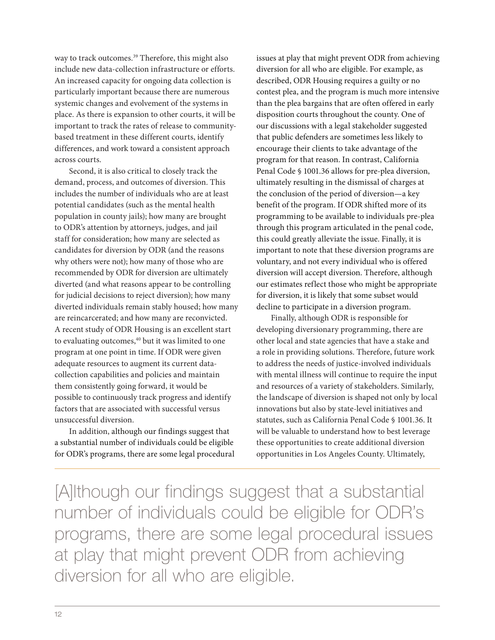way to track outcomes.<sup>39</sup> Therefore, this might also include new data-collection infrastructure or efforts. An increased capacity for ongoing data collection is particularly important because there are numerous systemic changes and evolvement of the systems in place. As there is expansion to other courts, it will be important to track the rates of release to communitybased treatment in these different courts, identify differences, and work toward a consistent approach across courts.

Second, it is also critical to closely track the demand, process, and outcomes of diversion. This includes the number of individuals who are at least potential candidates (such as the mental health population in county jails); how many are brought to ODR's attention by attorneys, judges, and jail staff for consideration; how many are selected as candidates for diversion by ODR (and the reasons why others were not); how many of those who are recommended by ODR for diversion are ultimately diverted (and what reasons appear to be controlling for judicial decisions to reject diversion); how many diverted individuals remain stably housed; how many are reincarcerated; and how many are reconvicted. A recent study of ODR Housing is an excellent start to evaluating outcomes,<sup>40</sup> but it was limited to one program at one point in time. If ODR were given adequate resources to augment its current datacollection capabilities and policies and maintain them consistently going forward, it would be possible to continuously track progress and identify factors that are associated with successful versus unsuccessful diversion.

In addition, although our findings suggest that a substantial number of individuals could be eligible for ODR's programs, there are some legal procedural issues at play that might prevent ODR from achieving diversion for all who are eligible. For example, as described, ODR Housing requires a guilty or no contest plea, and the program is much more intensive than the plea bargains that are often offered in early disposition courts throughout the county. One of our discussions with a legal stakeholder suggested that public defenders are sometimes less likely to encourage their clients to take advantage of the program for that reason. In contrast, California Penal Code § 1001.36 allows for pre-plea diversion, ultimately resulting in the dismissal of charges at the conclusion of the period of diversion—a key benefit of the program. If ODR shifted more of its programming to be available to individuals pre-plea through this program articulated in the penal code, this could greatly alleviate the issue. Finally, it is important to note that these diversion programs are voluntary, and not every individual who is offered diversion will accept diversion. Therefore, although our estimates reflect those who might be appropriate for diversion, it is likely that some subset would decline to participate in a diversion program.

Finally, although ODR is responsible for developing diversionary programming, there are other local and state agencies that have a stake and a role in providing solutions. Therefore, future work to address the needs of justice-involved individuals with mental illness will continue to require the input and resources of a variety of stakeholders. Similarly, the landscape of diversion is shaped not only by local innovations but also by state-level initiatives and statutes, such as California Penal Code § 1001.36. It will be valuable to understand how to best leverage these opportunities to create additional diversion opportunities in Los Angeles County. Ultimately,

[A]lthough our findings suggest that a substantial number of individuals could be eligible for ODR's programs, there are some legal procedural issues at play that might prevent ODR from achieving diversion for all who are eligible.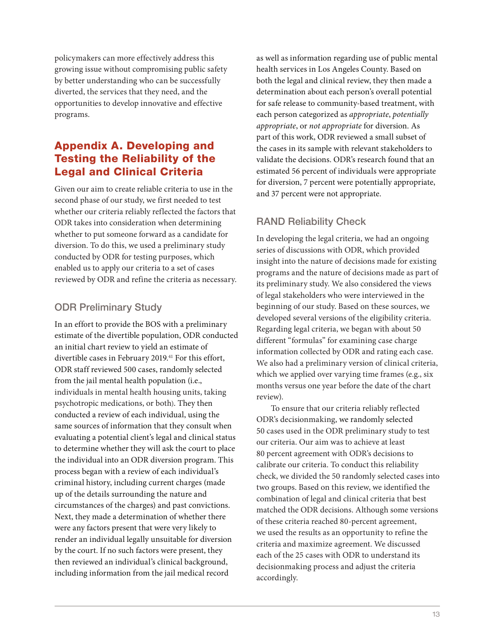policymakers can more effectively address this growing issue without compromising public safety by better understanding who can be successfully diverted, the services that they need, and the opportunities to develop innovative and effective programs.

# Appendix A. Developing and Testing the Reliability of the Legal and Clinical Criteria

Given our aim to create reliable criteria to use in the second phase of our study, we first needed to test whether our criteria reliably reflected the factors that ODR takes into consideration when determining whether to put someone forward as a candidate for diversion. To do this, we used a preliminary study conducted by ODR for testing purposes, which enabled us to apply our criteria to a set of cases reviewed by ODR and refine the criteria as necessary.

# ODR Preliminary Study

In an effort to provide the BOS with a preliminary estimate of the divertible population, ODR conducted an initial chart review to yield an estimate of divertible cases in February 2019.<sup>41</sup> For this effort, ODR staff reviewed 500 cases, randomly selected from the jail mental health population (i.e., individuals in mental health housing units, taking psychotropic medications, or both). They then conducted a review of each individual, using the same sources of information that they consult when evaluating a potential client's legal and clinical status to determine whether they will ask the court to place the individual into an ODR diversion program. This process began with a review of each individual's criminal history, including current charges (made up of the details surrounding the nature and circumstances of the charges) and past convictions. Next, they made a determination of whether there were any factors present that were very likely to render an individual legally unsuitable for diversion by the court. If no such factors were present, they then reviewed an individual's clinical background, including information from the jail medical record

as well as information regarding use of public mental health services in Los Angeles County. Based on both the legal and clinical review, they then made a determination about each person's overall potential for safe release to community-based treatment, with each person categorized as *appropriate*, *potentially appropriate*, or *not appropriate* for diversion. As part of this work, ODR reviewed a small subset of the cases in its sample with relevant stakeholders to validate the decisions. ODR's research found that an estimated 56 percent of individuals were appropriate for diversion, 7 percent were potentially appropriate, and 37 percent were not appropriate.

# RAND Reliability Check

In developing the legal criteria, we had an ongoing series of discussions with ODR, which provided insight into the nature of decisions made for existing programs and the nature of decisions made as part of its preliminary study. We also considered the views of legal stakeholders who were interviewed in the beginning of our study. Based on these sources, we developed several versions of the eligibility criteria. Regarding legal criteria, we began with about 50 different "formulas" for examining case charge information collected by ODR and rating each case. We also had a preliminary version of clinical criteria, which we applied over varying time frames (e.g., six months versus one year before the date of the chart review).

To ensure that our criteria reliably reflected ODR's decisionmaking, we randomly selected 50 cases used in the ODR preliminary study to test our criteria. Our aim was to achieve at least 80 percent agreement with ODR's decisions to calibrate our criteria. To conduct this reliability check, we divided the 50 randomly selected cases into two groups. Based on this review, we identified the combination of legal and clinical criteria that best matched the ODR decisions. Although some versions of these criteria reached 80-percent agreement, we used the results as an opportunity to refine the criteria and maximize agreement. We discussed each of the 25 cases with ODR to understand its decisionmaking process and adjust the criteria accordingly.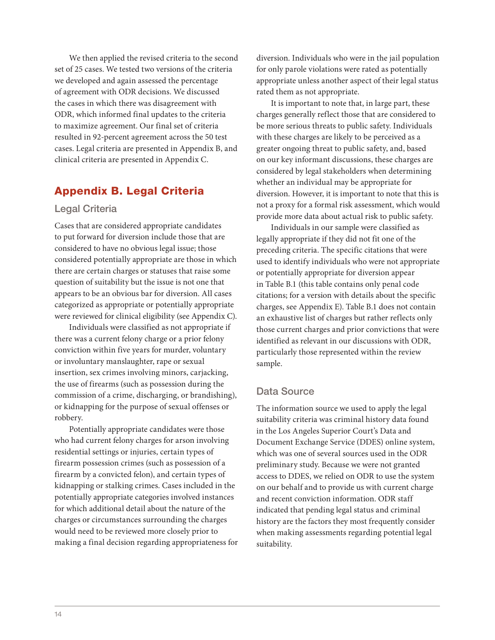We then applied the revised criteria to the second set of 25 cases. We tested two versions of the criteria we developed and again assessed the percentage of agreement with ODR decisions. We discussed the cases in which there was disagreement with ODR, which informed final updates to the criteria to maximize agreement. Our final set of criteria resulted in 92-percent agreement across the 50 test cases. Legal criteria are presented in Appendix B, and clinical criteria are presented in Appendix C.

# Appendix B. Legal Criteria

#### Legal Criteria

Cases that are considered appropriate candidates to put forward for diversion include those that are considered to have no obvious legal issue; those considered potentially appropriate are those in which there are certain charges or statuses that raise some question of suitability but the issue is not one that appears to be an obvious bar for diversion. All cases categorized as appropriate or potentially appropriate were reviewed for clinical eligibility (see Appendix C).

Individuals were classified as not appropriate if there was a current felony charge or a prior felony conviction within five years for murder, voluntary or involuntary manslaughter, rape or sexual insertion, sex crimes involving minors, carjacking, the use of firearms (such as possession during the commission of a crime, discharging, or brandishing), or kidnapping for the purpose of sexual offenses or robbery.

Potentially appropriate candidates were those who had current felony charges for arson involving residential settings or injuries, certain types of firearm possession crimes (such as possession of a firearm by a convicted felon), and certain types of kidnapping or stalking crimes. Cases included in the potentially appropriate categories involved instances for which additional detail about the nature of the charges or circumstances surrounding the charges would need to be reviewed more closely prior to making a final decision regarding appropriateness for diversion. Individuals who were in the jail population for only parole violations were rated as potentially appropriate unless another aspect of their legal status rated them as not appropriate.

It is important to note that, in large part, these charges generally reflect those that are considered to be more serious threats to public safety. Individuals with these charges are likely to be perceived as a greater ongoing threat to public safety, and, based on our key informant discussions, these charges are considered by legal stakeholders when determining whether an individual may be appropriate for diversion. However, it is important to note that this is not a proxy for a formal risk assessment, which would provide more data about actual risk to public safety.

Individuals in our sample were classified as legally appropriate if they did not fit one of the preceding criteria. The specific citations that were used to identify individuals who were not appropriate or potentially appropriate for diversion appear in Table B.1 (this table contains only penal code citations; for a version with details about the specific charges, see Appendix E). Table B.1 does not contain an exhaustive list of charges but rather reflects only those current charges and prior convictions that were identified as relevant in our discussions with ODR, particularly those represented within the review sample.

#### Data Source

The information source we used to apply the legal suitability criteria was criminal history data found in the Los Angeles Superior Court's Data and Document Exchange Service (DDES) online system, which was one of several sources used in the ODR preliminary study. Because we were not granted access to DDES, we relied on ODR to use the system on our behalf and to provide us with current charge and recent conviction information. ODR staff indicated that pending legal status and criminal history are the factors they most frequently consider when making assessments regarding potential legal suitability.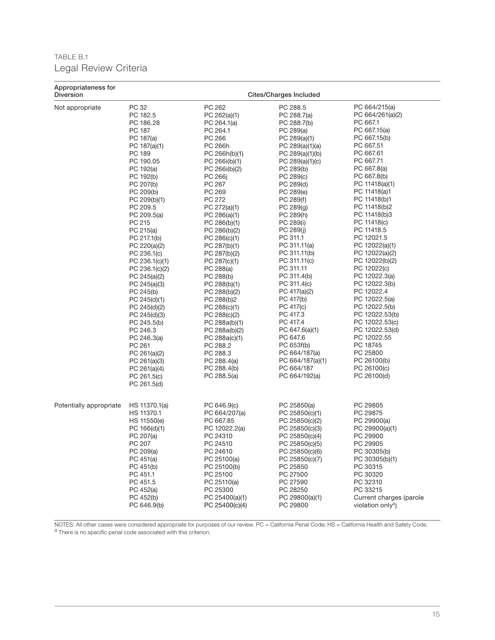# TABLE B.1 Legal Review Criteria

| Appropriateness for<br><b>Diversion</b> |                                                                                                                                                                                                                                                                                                                                                                                                                                                                                                                                       |                                                                                                                                                                                                                                                                                                                                                                                                                                                                                                                                    | Cites/Charges Included                                                                                                                                                                                                                                                                                                                                                                                                                                                                                                                       |                                                                                                                                                                                                                                                                                                                                                                                                                                                                                                                                                                                  |
|-----------------------------------------|---------------------------------------------------------------------------------------------------------------------------------------------------------------------------------------------------------------------------------------------------------------------------------------------------------------------------------------------------------------------------------------------------------------------------------------------------------------------------------------------------------------------------------------|------------------------------------------------------------------------------------------------------------------------------------------------------------------------------------------------------------------------------------------------------------------------------------------------------------------------------------------------------------------------------------------------------------------------------------------------------------------------------------------------------------------------------------|----------------------------------------------------------------------------------------------------------------------------------------------------------------------------------------------------------------------------------------------------------------------------------------------------------------------------------------------------------------------------------------------------------------------------------------------------------------------------------------------------------------------------------------------|----------------------------------------------------------------------------------------------------------------------------------------------------------------------------------------------------------------------------------------------------------------------------------------------------------------------------------------------------------------------------------------------------------------------------------------------------------------------------------------------------------------------------------------------------------------------------------|
| Not appropriate                         | PC 32<br>PC 182.5<br>PC 186.28<br>PC 187<br>PC 187(a)<br>PC 187(a)(1)<br>PC 189<br>PC 190.05<br>PC 192(a)<br>PC 192(b)<br>PC 207(b)<br>PC 209(b)<br>PC 209(b)(1)<br>PC 209.5<br>PC $209.5(a)$<br>PC 215<br>PC 215(a)<br>PC 217.1(b)<br>PC 220(a)(2)<br>PC 236.1(c)<br>PC 236.1(c)(1)<br>PC 236.1(c)(2)<br>PC 245(a)(2)<br>PC 245(a)(3)<br>PC 245(b)<br>PC 245(d)(1)<br>PC 245(d)(2)<br>PC 245(d)(3)<br>PC 245.5(b)<br>PC 246.3<br>PC 246.3(a)<br>PC 261<br>PC 261(a)(2)<br>PC 261(a)(3)<br>PC 261(a)(4)<br>PC 261.5(c)<br>PC 261.5(d) | PC 262<br>PC 262(a)(1)<br>PC 264.1(a)<br>PC 264.1<br>PC 266<br>PC 266h<br>PC 266h(b)(1)<br>PC 266i(b)(1)<br>PC 266i(b)(2)<br>PC 266j<br>PC 267<br>PC 269<br>PC 272<br>PC 272(a)(1)<br>PC 286(a)(1)<br>PC 286(b)(1)<br>PC 286(b)(2)<br>PC 286(c)(1)<br>PC 287(b)(1)<br>PC 287(b)(2)<br>PC 287(c)(1)<br>PC 288(a)<br>PC 288(b)<br>PC 288(b)(1)<br>PC 288(b)(2)<br>PC 288(b)2<br>PC 288(c)(1)<br>PC 288(c)(2)<br>PC 288a(b)(1)<br>PC 288a(b)(2)<br>PC 288a(c)(1)<br>PC 288.2<br>PC 288.3<br>PC 288.4(a)<br>PC 288.4(b)<br>PC 288.5(a) | PC 288.5<br>PC 288.7(a)<br>PC 288.7(b)<br>PC 289(a)<br>PC 289(a)(1)<br>PC 289(a)(1)(a)<br>PC 289(a)(1)(b)<br>PC $289(a)(1)(c)$<br>PC 289(b)<br>PC 289(c)<br>PC 289(d)<br>PC 289(e)<br>PC 289(f)<br>PC 289(g)<br>PC 289(h)<br>PC 289(i)<br>PC 289(j)<br>PC 311.1<br>PC 311.11(a)<br>PC 311.11(b)<br>PC 311.11(c)<br>PC 311.11<br>PC 311.4(b)<br>PC 311.4(c)<br>PC 417(a)(2)<br>PC 417(b)<br>PC 417(c)<br>PC 417.3<br>PC 417.4<br>PC 647.6(a)(1)<br>PC 647.6<br>PC 653f(b)<br>PC 664/187(a)<br>PC 664/187(a)(1)<br>PC 664/187<br>PC 664/192(a) | PC 664/215(a)<br>PC 664/261(a)(2)<br>PC 667.1<br>PC 667.15(a)<br>PC 667.15(b)<br>PC 667.51<br>PC 667.61<br>PC 667.71<br>PC 667.8(a)<br>PC 667.8(b)<br>PC 11418(a)(1)<br>PC 11418(a)1<br>PC 11418(b)1<br>PC 11418(b)2<br>PC 11418(b)3<br>PC 11418(c)<br>PC 11418.5<br>PC 12021.5<br>PC 12022(a)(1)<br>PC 12022(a)(2)<br>PC 12022(b)(2)<br>PC 12022(c)<br>PC 12022.3(a)<br>PC 12022.3(b)<br>PC 12022.4<br>PC 12022.5(a)<br>PC 12022.5(b)<br>PC 12022.53(b)<br>PC 12022.53(c)<br>PC 12022.53(d)<br>PC 12022.55<br>PC 18745<br>PC 25800<br>PC 26100(b)<br>PC 26100(c)<br>PC 26100(d) |
| Potentially appropriate                 | HS 11370.1(a)<br>HS 11370.1<br>HS 11550(e)<br>PC 166(d)(1)<br>PC 207(a)<br>PC 207<br>PC 209(a)<br>PC 451(a)<br>PC 451(b)<br>PC 451.1<br>PC 451.5<br>PC 452(a)<br>PC 452(b)<br>PC 646.9(b)                                                                                                                                                                                                                                                                                                                                             | PC 646.9(c)<br>PC 664/207(a)<br>PC 667.85<br>PC 12022.2(a)<br>PC 24310<br>PC 24510<br>PC 24610<br>PC 25100(a)<br>PC 25100(b)<br>PC 25100<br>PC 25110(a)<br>PC 25300<br>PC 25400(a)(1)<br>PC 25400(c)(4)                                                                                                                                                                                                                                                                                                                            | PC 25850(a)<br>PC 25850(c)(1)<br>PC 25850(c)(2)<br>PC 25850(c)(3)<br>PC 25850(c)(4)<br>PC 25850(c)(5)<br>PC 25850(c)(6)<br>PC 25850(c)(7)<br>PC 25850<br>PC 27500<br>PC 27590<br>PC 28250<br>PC 29800(a)(1)<br>PC 29800                                                                                                                                                                                                                                                                                                                      | PC 29805<br>PC 29875<br>PC 29900(a)<br>PC 29900(a)(1)<br>PC 29900<br>PC 29905<br>PC 30305(b)<br>PC 30305(b)(1)<br>PC 30315<br>PC 30320<br>PC 32310<br>PC 33215<br>Current charges (parole<br>violation onlya)                                                                                                                                                                                                                                                                                                                                                                    |

NOTES: All other cases were considered appropriate for purposes of our review. PC = California Penal Code; HS = California Health and Safety Code. a There is no specific penal code associated with this criterion.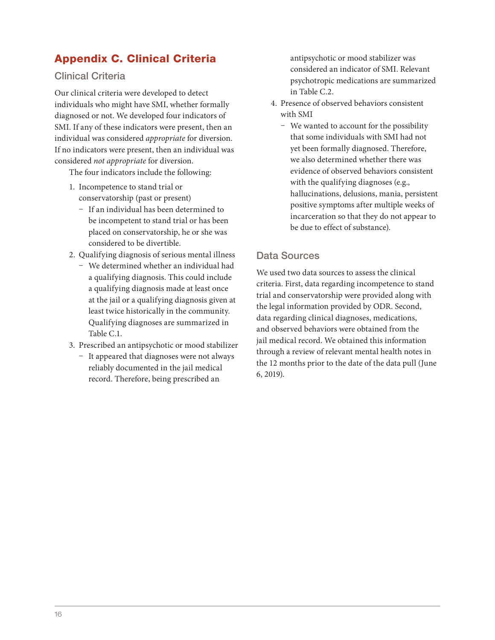# Appendix C. Clinical Criteria

#### Clinical Criteria

Our clinical criteria were developed to detect individuals who might have SMI, whether formally diagnosed or not. We developed four indicators of SMI. If any of these indicators were present, then an individual was considered *appropriate* for diversion. If no indicators were present, then an individual was considered *not appropriate* for diversion.

The four indicators include the following:

- 1. Incompetence to stand trial or conservatorship (past or present)
	- If an individual has been determined to be incompetent to stand trial or has been placed on conservatorship, he or she was considered to be divertible.
- 2. Qualifying diagnosis of serious mental illness
	- We determined whether an individual had a qualifying diagnosis. This could include a qualifying diagnosis made at least once at the jail or a qualifying diagnosis given at least twice historically in the community. Qualifying diagnoses are summarized in Table C.1.
- 3. Prescribed an antipsychotic or mood stabilizer
	- It appeared that diagnoses were not always reliably documented in the jail medical record. Therefore, being prescribed an

antipsychotic or mood stabilizer was considered an indicator of SMI. Relevant psychotropic medications are summarized in Table C.2.

- 4. Presence of observed behaviors consistent with SMI
	- We wanted to account for the possibility that some individuals with SMI had not yet been formally diagnosed. Therefore, we also determined whether there was evidence of observed behaviors consistent with the qualifying diagnoses (e.g., hallucinations, delusions, mania, persistent positive symptoms after multiple weeks of incarceration so that they do not appear to be due to effect of substance).

#### Data Sources

We used two data sources to assess the clinical criteria. First, data regarding incompetence to stand trial and conservatorship were provided along with the legal information provided by ODR. Second, data regarding clinical diagnoses, medications, and observed behaviors were obtained from the jail medical record. We obtained this information through a review of relevant mental health notes in the 12 months prior to the date of the data pull (June 6, 2019).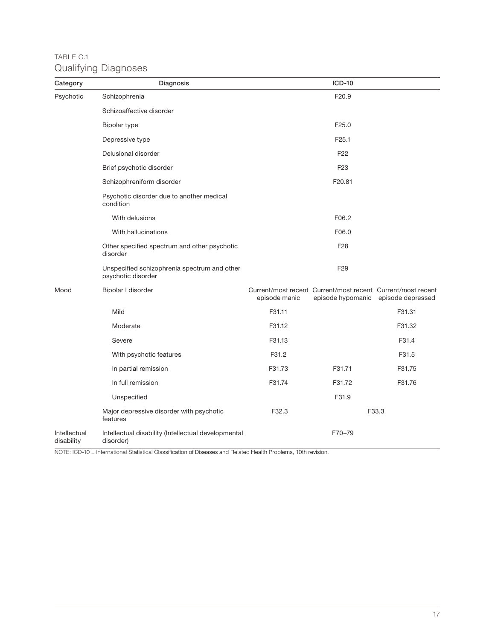# TABLE C.1 Qualifying Diagnoses

| Category                   | Diagnosis                                                          |               | <b>ICD-10</b>                                               |                                     |
|----------------------------|--------------------------------------------------------------------|---------------|-------------------------------------------------------------|-------------------------------------|
| Psychotic                  | Schizophrenia                                                      |               | F20.9                                                       |                                     |
|                            | Schizoaffective disorder                                           |               |                                                             |                                     |
|                            | Bipolar type                                                       |               | F25.0                                                       |                                     |
|                            | Depressive type                                                    |               | F <sub>25.1</sub>                                           |                                     |
|                            | Delusional disorder                                                |               | F <sub>22</sub>                                             |                                     |
|                            | Brief psychotic disorder                                           |               | F <sub>23</sub>                                             |                                     |
|                            | Schizophreniform disorder                                          |               | F20.81                                                      |                                     |
|                            | Psychotic disorder due to another medical<br>condition             |               |                                                             |                                     |
|                            | With delusions                                                     |               | F06.2                                                       |                                     |
|                            | With hallucinations                                                |               | F06.0                                                       |                                     |
|                            | Other specified spectrum and other psychotic<br>disorder           |               | F <sub>28</sub>                                             |                                     |
|                            | Unspecified schizophrenia spectrum and other<br>psychotic disorder |               | F <sub>29</sub>                                             |                                     |
| Mood                       | Bipolar I disorder                                                 | episode manic | Current/most recent Current/most recent Current/most recent | episode hypomanic episode depressed |
|                            | Mild                                                               | F31.11        |                                                             | F31.31                              |
|                            | Moderate                                                           | F31.12        |                                                             | F31.32                              |
|                            | Severe                                                             | F31.13        |                                                             | F31.4                               |
|                            | With psychotic features                                            | F31.2         |                                                             | F31.5                               |
|                            | In partial remission                                               | F31.73        | F31.71                                                      | F31.75                              |
|                            | In full remission                                                  | F31.74        | F31.72                                                      | F31.76                              |
|                            | Unspecified                                                        |               | F31.9                                                       |                                     |
|                            | Major depressive disorder with psychotic<br>features               | F32.3         |                                                             | F33.3                               |
| Intellectual<br>disability | Intellectual disability (Intellectual developmental<br>disorder)   |               | F70-79                                                      |                                     |

NOTE: ICD-10 = International Statistical Classification of Diseases and Related Health Problems, 10th revision.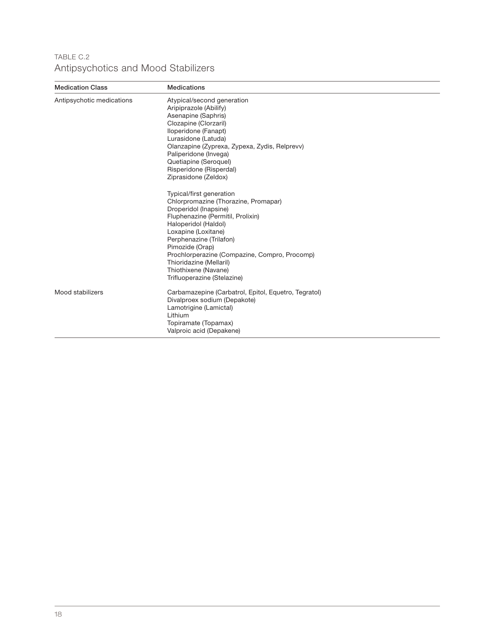# TABLE C.2 Antipsychotics and Mood Stabilizers

| <b>Medication Class</b>   | <b>Medications</b>                                                                                                                                                                                                                                                                                                                                                                                                                                                                                                    |
|---------------------------|-----------------------------------------------------------------------------------------------------------------------------------------------------------------------------------------------------------------------------------------------------------------------------------------------------------------------------------------------------------------------------------------------------------------------------------------------------------------------------------------------------------------------|
| Antipsychotic medications | Atypical/second generation<br>Aripiprazole (Abilify)<br>Asenapine (Saphris)<br>Clozapine (Clorzaril)<br>Iloperidone (Fanapt)<br>Lurasidone (Latuda)<br>Olanzapine (Zyprexa, Zypexa, Zydis, Relprevv)<br>Paliperidone (Invega)<br>Quetiapine (Seroquel)<br>Risperidone (Risperdal)<br>Ziprasidone (Zeldox)<br>Typical/first generation<br>Chlorpromazine (Thorazine, Promapar)<br>Droperidol (Inapsine)<br>Fluphenazine (Permitil, Prolixin)<br>Haloperidol (Haldol)<br>Loxapine (Loxitane)<br>Perphenazine (Trilafon) |
|                           | Pimozide (Orap)<br>Prochlorperazine (Compazine, Compro, Procomp)<br>Thioridazine (Mellaril)<br>Thiothixene (Navane)<br>Trifluoperazine (Stelazine)                                                                                                                                                                                                                                                                                                                                                                    |
| Mood stabilizers          | Carbamazepine (Carbatrol, Epitol, Equetro, Tegratol)<br>Divalproex sodium (Depakote)<br>Lamotrigine (Lamictal)<br>Lithium<br>Topiramate (Topamax)<br>Valproic acid (Depakene)                                                                                                                                                                                                                                                                                                                                         |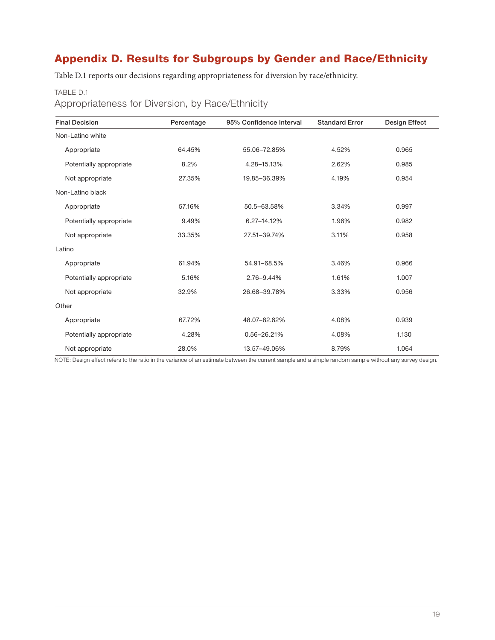# Appendix D. Results for Subgroups by Gender and Race/Ethnicity

Table D.1 reports our decisions regarding appropriateness for diversion by race/ethnicity.

#### TABLE D.1

Appropriateness for Diversion, by Race/Ethnicity

| <b>Final Decision</b>   | Percentage | 95% Confidence Interval | <b>Standard Error</b> | Design Effect |
|-------------------------|------------|-------------------------|-----------------------|---------------|
| Non-Latino white        |            |                         |                       |               |
| Appropriate             | 64.45%     | 55.06-72.85%            | 4.52%                 | 0.965         |
| Potentially appropriate | 8.2%       | 4.28-15.13%             | 2.62%                 | 0.985         |
| Not appropriate         | 27.35%     | 19.85-36.39%            | 4.19%                 | 0.954         |
| Non-Latino black        |            |                         |                       |               |
| Appropriate             | 57.16%     | 50.5-63.58%             | 3.34%                 | 0.997         |
| Potentially appropriate | 9.49%      | 6.27-14.12%             | 1.96%                 | 0.982         |
| Not appropriate         | 33.35%     | 27.51-39.74%            | 3.11%                 | 0.958         |
| Latino                  |            |                         |                       |               |
| Appropriate             | 61.94%     | 54.91-68.5%             | 3.46%                 | 0.966         |
| Potentially appropriate | 5.16%      | 2.76-9.44%              | 1.61%                 | 1.007         |
| Not appropriate         | 32.9%      | 26.68-39.78%            | 3.33%                 | 0.956         |
| Other                   |            |                         |                       |               |
| Appropriate             | 67.72%     | 48.07-82.62%            | 4.08%                 | 0.939         |
| Potentially appropriate | 4.28%      | 0.56-26.21%             | 4.08%                 | 1.130         |
| Not appropriate         | 28.0%      | 13.57-49.06%            | 8.79%                 | 1.064         |

NOTE: Design effect refers to the ratio in the variance of an estimate between the current sample and a simple random sample without any survey design.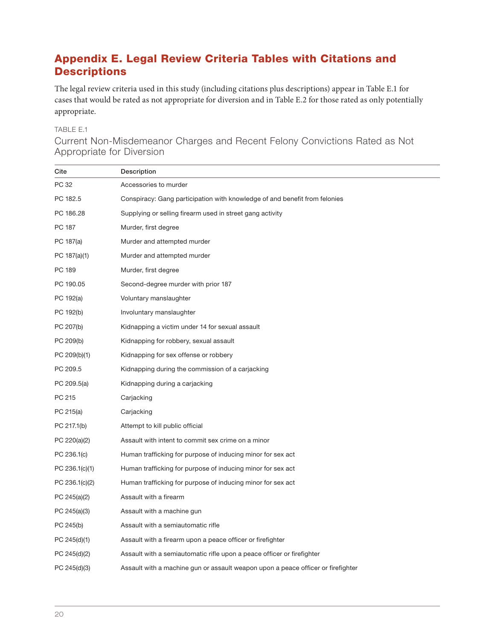# Appendix E. Legal Review Criteria Tables with Citations and **Descriptions**

The legal review criteria used in this study (including citations plus descriptions) appear in Table E.1 for cases that would be rated as not appropriate for diversion and in Table E.2 for those rated as only potentially appropriate.

# TABLE E.1

Current Non-Misdemeanor Charges and Recent Felony Convictions Rated as Not Appropriate for Diversion

| Cite           | Description                                                                      |
|----------------|----------------------------------------------------------------------------------|
| PC 32          | Accessories to murder                                                            |
| PC 182.5       | Conspiracy: Gang participation with knowledge of and benefit from felonies       |
| PC 186.28      | Supplying or selling firearm used in street gang activity                        |
| PC 187         | Murder, first degree                                                             |
| PC 187(a)      | Murder and attempted murder                                                      |
| PC 187(a)(1)   | Murder and attempted murder                                                      |
| PC 189         | Murder, first degree                                                             |
| PC 190.05      | Second-degree murder with prior 187                                              |
| PC 192(a)      | Voluntary manslaughter                                                           |
| PC 192(b)      | Involuntary manslaughter                                                         |
| PC 207(b)      | Kidnapping a victim under 14 for sexual assault                                  |
| PC 209(b)      | Kidnapping for robbery, sexual assault                                           |
| PC 209(b)(1)   | Kidnapping for sex offense or robbery                                            |
| PC 209.5       | Kidnapping during the commission of a carjacking                                 |
| PC 209.5(a)    | Kidnapping during a carjacking                                                   |
| PC 215         | Carjacking                                                                       |
| PC 215(a)      | Carjacking                                                                       |
| PC 217.1(b)    | Attempt to kill public official                                                  |
| PC 220(a)(2)   | Assault with intent to commit sex crime on a minor                               |
| PC 236.1(c)    | Human trafficking for purpose of inducing minor for sex act                      |
| PC 236.1(c)(1) | Human trafficking for purpose of inducing minor for sex act                      |
| PC 236.1(c)(2) | Human trafficking for purpose of inducing minor for sex act                      |
| PC 245(a)(2)   | Assault with a firearm                                                           |
| PC 245(a)(3)   | Assault with a machine gun                                                       |
| PC 245(b)      | Assault with a semiautomatic rifle                                               |
| PC 245(d)(1)   | Assault with a firearm upon a peace officer or firefighter                       |
| PC 245(d)(2)   | Assault with a semiautomatic rifle upon a peace officer or firefighter           |
| PC 245(d)(3)   | Assault with a machine gun or assault weapon upon a peace officer or firefighter |
|                |                                                                                  |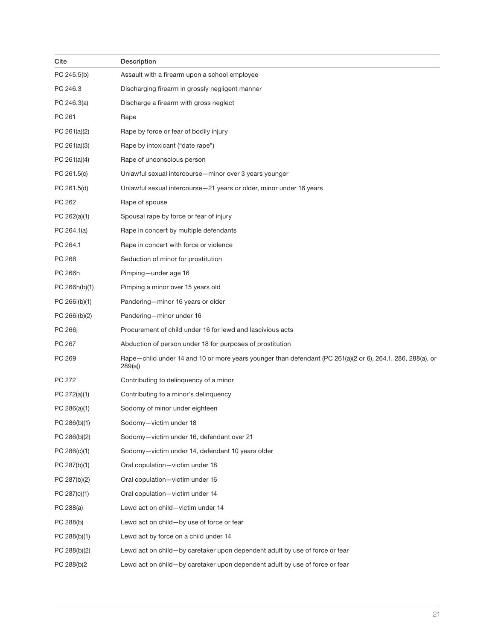| Cite           | Description                                                                                                          |
|----------------|----------------------------------------------------------------------------------------------------------------------|
| PC 245.5(b)    | Assault with a firearm upon a school employee                                                                        |
| PC 246.3       | Discharging firearm in grossly negligent manner                                                                      |
| PC 246.3(a)    | Discharge a firearm with gross neglect                                                                               |
| PC 261         | Rape                                                                                                                 |
| PC 261(a)(2)   | Rape by force or fear of bodily injury                                                                               |
| PC 261(a)(3)   | Rape by intoxicant ("date rape")                                                                                     |
| PC 261(a)(4)   | Rape of unconscious person                                                                                           |
| PC 261.5(c)    | Unlawful sexual intercourse-minor over 3 years younger                                                               |
| PC 261.5(d)    | Unlawful sexual intercourse-21 years or older, minor under 16 years                                                  |
| PC 262         | Rape of spouse                                                                                                       |
| PC 262(a)(1)   | Spousal rape by force or fear of injury                                                                              |
| PC 264.1(a)    | Rape in concert by multiple defendants                                                                               |
| PC 264.1       | Rape in concert with force or violence                                                                               |
| PC 266         | Seduction of minor for prostitution                                                                                  |
| PC 266h        | Pimping-under age 16                                                                                                 |
| PC 266h(b)(1)  | Pimping a minor over 15 years old                                                                                    |
| PC 266i(b)(1)  | Pandering-minor 16 years or older                                                                                    |
| PC 266i(b)(2)  | Pandering-minor under 16                                                                                             |
| PC 266         | Procurement of child under 16 for lewd and lascivious acts                                                           |
| PC 267         | Abduction of person under 18 for purposes of prostitution                                                            |
| PC 269         | Rape-child under 14 and 10 or more years younger than defendant (PC 261(a)(2 or 6), 264.1, 286, 288(a), or<br>289(a) |
| PC 272         | Contributing to delinquency of a minor                                                                               |
| PC 272(a)(1)   | Contributing to a minor's delinquency                                                                                |
| PC $286(a)(1)$ | Sodomy of minor under eighteen                                                                                       |
| PC 286(b)(1)   | Sodomy-victim under 18                                                                                               |
| PC 286(b)(2)   | Sodomy-victim under 16, defendant over 21                                                                            |
| PC 286(c)(1)   | Sodomy-victim under 14, defendant 10 years older                                                                     |
| PC 287(b)(1)   | Oral copulation-victim under 18                                                                                      |
| PC 287(b)(2)   | Oral copulation-victim under 16                                                                                      |
| PC 287(c)(1)   | Oral copulation-victim under 14                                                                                      |
| PC 288(a)      | Lewd act on child-victim under 14                                                                                    |
| PC 288(b)      | Lewd act on child-by use of force or fear                                                                            |
| PC 288(b)(1)   | Lewd act by force on a child under 14                                                                                |
| PC 288(b)(2)   | Lewd act on child-by caretaker upon dependent adult by use of force or fear                                          |
| PC 288(b)2     | Lewd act on child-by caretaker upon dependent adult by use of force or fear                                          |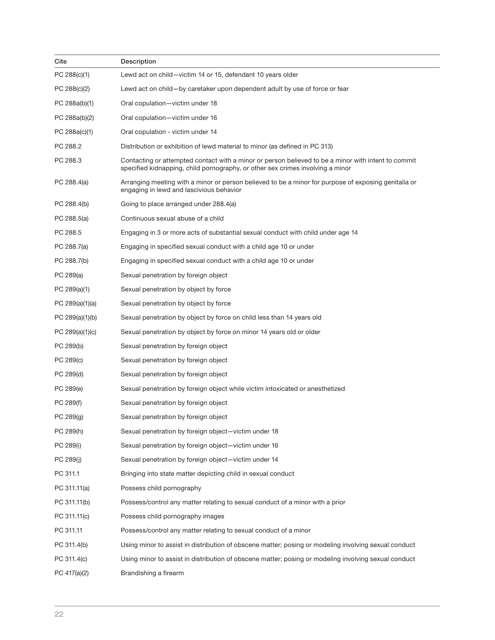| Cite              | Description                                                                                                                                                                           |
|-------------------|---------------------------------------------------------------------------------------------------------------------------------------------------------------------------------------|
| PC 288(c)(1)      | Lewd act on child—victim 14 or 15, defendant 10 years older                                                                                                                           |
| PC 288(c)(2)      | Lewd act on child—by caretaker upon dependent adult by use of force or fear                                                                                                           |
| PC 288a(b)(1)     | Oral copulation-victim under 18                                                                                                                                                       |
| PC 288a(b)(2)     | Oral copulation-victim under 16                                                                                                                                                       |
| PC 288a(c)(1)     | Oral copulation - victim under 14                                                                                                                                                     |
| PC 288.2          | Distribution or exhibition of lewd material to minor (as defined in PC 313)                                                                                                           |
| PC 288.3          | Contacting or attempted contact with a minor or person believed to be a minor with intent to commit<br>specified kidnapping, child pornography, or other sex crimes involving a minor |
| PC 288.4(a)       | Arranging meeting with a minor or person believed to be a minor for purpose of exposing genitalia or<br>engaging in lewd and lascivious behavior                                      |
| PC 288.4(b)       | Going to place arranged under 288.4(a)                                                                                                                                                |
| PC 288.5(a)       | Continuous sexual abuse of a child                                                                                                                                                    |
| PC 288.5          | Engaging in 3 or more acts of substantial sexual conduct with child under age 14                                                                                                      |
| PC 288.7(a)       | Engaging in specified sexual conduct with a child age 10 or under                                                                                                                     |
| PC 288.7(b)       | Engaging in specified sexual conduct with a child age 10 or under                                                                                                                     |
| PC 289(a)         | Sexual penetration by foreign object                                                                                                                                                  |
| PC $289(a)(1)$    | Sexual penetration by object by force                                                                                                                                                 |
| PC $289(a)(1)(a)$ | Sexual penetration by object by force                                                                                                                                                 |
| PC $289(a)(1)(b)$ | Sexual penetration by object by force on child less than 14 years old                                                                                                                 |
| PC $289(a)(1)(c)$ | Sexual penetration by object by force on minor 14 years old or older                                                                                                                  |
| PC 289(b)         | Sexual penetration by foreign object                                                                                                                                                  |
| PC 289(c)         | Sexual penetration by foreign object                                                                                                                                                  |
| PC 289(d)         | Sexual penetration by foreign object                                                                                                                                                  |
| PC 289(e)         | Sexual penetration by foreign object while victim intoxicated or anesthetized                                                                                                         |
| PC 289(f)         | Sexual penetration by foreign object                                                                                                                                                  |
| PC 289(g)         | Sexual penetration by foreign object                                                                                                                                                  |
| PC 289(h)         | Sexual penetration by foreign object-victim under 18                                                                                                                                  |
| PC 289(i)         | Sexual penetration by foreign object-victim under 16                                                                                                                                  |
| PC 289(j)         | Sexual penetration by foreign object-victim under 14                                                                                                                                  |
| PC 311.1          | Bringing into state matter depicting child in sexual conduct                                                                                                                          |
| PC 311.11(a)      | Possess child pornography                                                                                                                                                             |
| PC 311.11(b)      | Possess/control any matter relating to sexual conduct of a minor with a prior                                                                                                         |
| PC 311.11(c)      | Possess child pornography images                                                                                                                                                      |
| PC 311.11         | Possess/control any matter relating to sexual conduct of a minor                                                                                                                      |
| PC 311.4(b)       | Using minor to assist in distribution of obscene matter; posing or modeling involving sexual conduct                                                                                  |
| PC 311.4(c)       | Using minor to assist in distribution of obscene matter; posing or modeling involving sexual conduct                                                                                  |
| PC 417(a)(2)      | Brandishing a firearm                                                                                                                                                                 |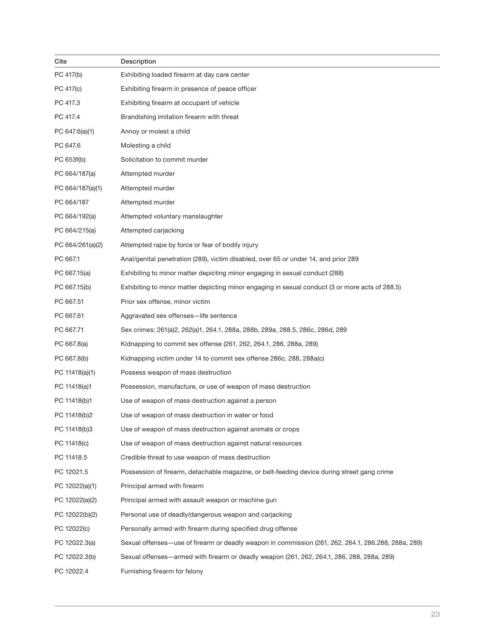| Cite             | Description                                                                                          |
|------------------|------------------------------------------------------------------------------------------------------|
| PC 417(b)        | Exhibiting loaded firearm at day care center                                                         |
| PC 417(c)        | Exhibiting firearm in presence of peace officer                                                      |
| PC 417.3         | Exhibiting firearm at occupant of vehicle                                                            |
| PC 417.4         | Brandishing imitation firearm with threat                                                            |
| PC 647.6(a)(1)   | Annoy or molest a child                                                                              |
| PC 647.6         | Molesting a child                                                                                    |
| PC 653f(b)       | Solicitation to commit murder                                                                        |
| PC 664/187(a)    | Attempted murder                                                                                     |
| PC 664/187(a)(1) | Attempted murder                                                                                     |
| PC 664/187       | Attempted murder                                                                                     |
| PC 664/192(a)    | Attempted voluntary manslaughter                                                                     |
| PC 664/215(a)    | Attempted carjacking                                                                                 |
| PC 664/261(a)(2) | Attempted rape by force or fear of bodily injury                                                     |
| PC 667.1         | Anal/genital penetration (289), victim disabled, over 65 or under 14, and prior 289                  |
| PC 667.15(a)     | Exhibiting to minor matter depicting minor engaging in sexual conduct (288)                          |
| PC 667.15(b)     | Exhibiting to minor matter depicting minor engaging in sexual conduct (3 or more acts of 288.5)      |
| PC 667.51        | Prior sex offense, minor victim                                                                      |
| PC 667.61        | Aggravated sex offenses—life sentence                                                                |
| PC 667.71        | Sex crimes: 261(a)2, 262(a)1, 264.1, 288a, 288b, 289a, 288.5, 286c, 286d, 289                        |
| PC 667.8(a)      | Kidnapping to commit sex offense (261, 262, 264.1, 286, 288a, 289)                                   |
| PC 667.8(b)      | Kidnapping victim under 14 to commit sex offense 286c, 288, 288a(c)                                  |
| PC 11418(a)(1)   | Possess weapon of mass destruction                                                                   |
| PC 11418(a)1     | Possession, manufacture, or use of weapon of mass destruction                                        |
| PC 11418(b)1     | Use of weapon of mass destruction against a person                                                   |
| PC 11418(b)2     | Use of weapon of mass destruction in water or food                                                   |
| PC 11418(b)3     | Use of weapon of mass destruction against animals or crops                                           |
| PC 11418(c)      | Use of weapon of mass destruction against natural resources                                          |
| PC 11418.5       | Credible threat to use weapon of mass destruction                                                    |
| PC 12021.5       | Possession of firearm, detachable magazine, or belt-feeding device during street gang crime          |
| PC 12022(a)(1)   | Principal armed with firearm                                                                         |
| PC 12022(a)(2)   | Principal armed with assault weapon or machine gun                                                   |
| PC 12022(b)(2)   | Personal use of deadly/dangerous weapon and carjacking                                               |
| PC 12022(c)      | Personally armed with firearm during specified drug offense                                          |
| PC 12022.3(a)    | Sexual offenses—use of firearm or deadly weapon in commission (261, 262, 264.1, 286, 288, 288a, 289) |
| PC 12022.3(b)    | Sexual offenses—armed with firearm or deadly weapon (261, 262, 264.1, 286, 288, 288a, 289)           |
| PC 12022.4       | Furnishing firearm for felony                                                                        |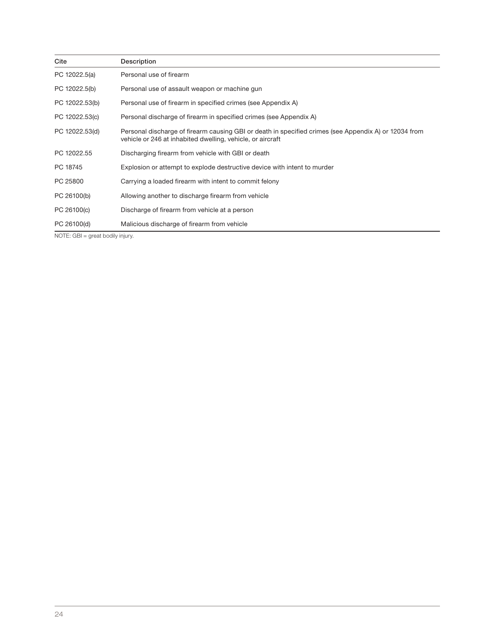| Cite           | Description                                                                                                                                                         |
|----------------|---------------------------------------------------------------------------------------------------------------------------------------------------------------------|
| PC 12022.5(a)  | Personal use of firearm                                                                                                                                             |
| PC 12022.5(b)  | Personal use of assault weapon or machine gun                                                                                                                       |
| PC 12022.53(b) | Personal use of firearm in specified crimes (see Appendix A)                                                                                                        |
| PC 12022.53(c) | Personal discharge of firearm in specified crimes (see Appendix A)                                                                                                  |
| PC 12022.53(d) | Personal discharge of firearm causing GBI or death in specified crimes (see Appendix A) or 12034 from<br>vehicle or 246 at inhabited dwelling, vehicle, or aircraft |
| PC 12022.55    | Discharging firearm from vehicle with GBI or death                                                                                                                  |
| PC 18745       | Explosion or attempt to explode destructive device with intent to murder                                                                                            |
| PC 25800       | Carrying a loaded firearm with intent to commit felony                                                                                                              |
| PC 26100(b)    | Allowing another to discharge firearm from vehicle                                                                                                                  |
| PC 26100(c)    | Discharge of firearm from vehicle at a person                                                                                                                       |
| PC 26100(d)    | Malicious discharge of firearm from vehicle                                                                                                                         |

NOTE: GBI = great bodily injury.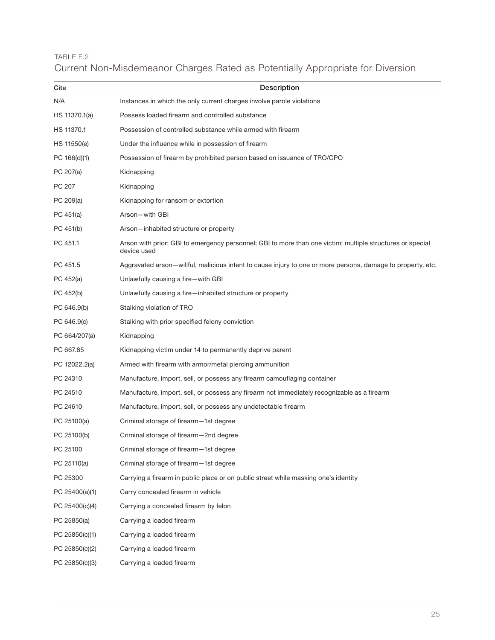# TABLE E.2 Current Non-Misdemeanor Charges Rated as Potentially Appropriate for Diversion

| Cite           | <b>Description</b>                                                                                                       |
|----------------|--------------------------------------------------------------------------------------------------------------------------|
| N/A            | Instances in which the only current charges involve parole violations                                                    |
| HS 11370.1(a)  | Possess loaded firearm and controlled substance                                                                          |
| HS 11370.1     | Possession of controlled substance while armed with firearm                                                              |
| HS 11550(e)    | Under the influence while in possession of firearm                                                                       |
| PC 166(d)(1)   | Possession of firearm by prohibited person based on issuance of TRO/CPO                                                  |
| PC 207(a)      | Kidnapping                                                                                                               |
| PC 207         | Kidnapping                                                                                                               |
| PC 209(a)      | Kidnapping for ransom or extortion                                                                                       |
| PC 451(a)      | Arson-with GBI                                                                                                           |
| PC 451(b)      | Arson-inhabited structure or property                                                                                    |
| PC 451.1       | Arson with prior; GBI to emergency personnel; GBI to more than one victim; multiple structures or special<br>device used |
| PC 451.5       | Aggravated arson—willful, malicious intent to cause injury to one or more persons, damage to property, etc.              |
| PC 452(a)      | Unlawfully causing a fire-with GBI                                                                                       |
| PC 452(b)      | Unlawfully causing a fire-inhabited structure or property                                                                |
| PC 646.9(b)    | Stalking violation of TRO                                                                                                |
| PC 646.9(c)    | Stalking with prior specified felony conviction                                                                          |
| PC 664/207(a)  | Kidnapping                                                                                                               |
| PC 667.85      | Kidnapping victim under 14 to permanently deprive parent                                                                 |
| PC 12022.2(a)  | Armed with firearm with armor/metal piercing ammunition                                                                  |
| PC 24310       | Manufacture, import, sell, or possess any firearm camouflaging container                                                 |
| PC 24510       | Manufacture, import, sell, or possess any firearm not immediately recognizable as a firearm                              |
| PC 24610       | Manufacture, import, sell, or possess any undetectable firearm                                                           |
| PC 25100(a)    | Criminal storage of firearm-1st degree                                                                                   |
| PC 25100(b)    | Criminal storage of firearm-2nd degree                                                                                   |
| PC 25100       | Criminal storage of firearm-1st degree                                                                                   |
| PC 25110(a)    | Criminal storage of firearm-1st degree                                                                                   |
| PC 25300       | Carrying a firearm in public place or on public street while masking one's identity                                      |
| PC 25400(a)(1) | Carry concealed firearm in vehicle                                                                                       |
| PC 25400(c)(4) | Carrying a concealed firearm by felon                                                                                    |
| PC 25850(a)    | Carrying a loaded firearm                                                                                                |
| PC 25850(c)(1) | Carrying a loaded firearm                                                                                                |
| PC 25850(c)(2) | Carrying a loaded firearm                                                                                                |
| PC 25850(c)(3) | Carrying a loaded firearm                                                                                                |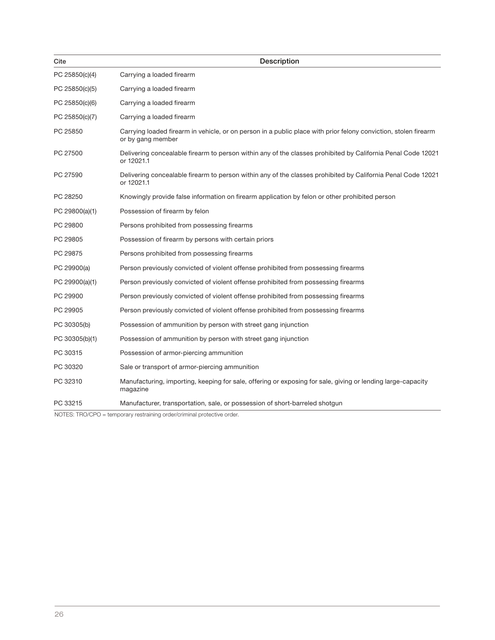| Cite           | Description                                                                                                                          |
|----------------|--------------------------------------------------------------------------------------------------------------------------------------|
| PC 25850(c)(4) | Carrying a loaded firearm                                                                                                            |
| PC 25850(c)(5) | Carrying a loaded firearm                                                                                                            |
| PC 25850(c)(6) | Carrying a loaded firearm                                                                                                            |
| PC 25850(c)(7) | Carrying a loaded firearm                                                                                                            |
| PC 25850       | Carrying loaded firearm in vehicle, or on person in a public place with prior felony conviction, stolen firearm<br>or by gang member |
| PC 27500       | Delivering concealable firearm to person within any of the classes prohibited by California Penal Code 12021<br>or 12021.1           |
| PC 27590       | Delivering concealable firearm to person within any of the classes prohibited by California Penal Code 12021<br>or 12021.1           |
| PC 28250       | Knowingly provide false information on firearm application by felon or other prohibited person                                       |
| PC 29800(a)(1) | Possession of firearm by felon                                                                                                       |
| PC 29800       | Persons prohibited from possessing firearms                                                                                          |
| PC 29805       | Possession of firearm by persons with certain priors                                                                                 |
| PC 29875       | Persons prohibited from possessing firearms                                                                                          |
| PC 29900(a)    | Person previously convicted of violent offense prohibited from possessing firearms                                                   |
| PC 29900(a)(1) | Person previously convicted of violent offense prohibited from possessing firearms                                                   |
| PC 29900       | Person previously convicted of violent offense prohibited from possessing firearms                                                   |
| PC 29905       | Person previously convicted of violent offense prohibited from possessing firearms                                                   |
| PC 30305(b)    | Possession of ammunition by person with street gang injunction                                                                       |
| PC 30305(b)(1) | Possession of ammunition by person with street gang injunction                                                                       |
| PC 30315       | Possession of armor-piercing ammunition                                                                                              |
| PC 30320       | Sale or transport of armor-piercing ammunition                                                                                       |
| PC 32310       | Manufacturing, importing, keeping for sale, offering or exposing for sale, giving or lending large-capacity<br>magazine              |
| PC 33215       | Manufacturer, transportation, sale, or possession of short-barreled shotgun                                                          |

NOTES: TRO/CPO = temporary restraining order/criminal protective order.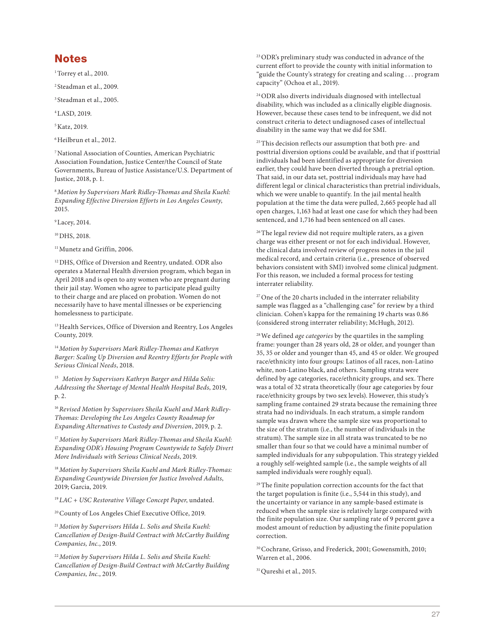# Notes

<sup>1</sup> Torrey et al., 2010.

2 Steadman et al., 2009.

3 Steadman et al., 2005.

4 LASD, 2019.

5 Katz, 2019.

6 Heilbrun et al., 2012.

7 National Association of Counties, American Psychiatric Association Foundation, Justice Center/the Council of State Governments, Bureau of Justice Assistance/U.S. Department of Justice, 2018, p. 1.

<sup>8</sup>*Motion by Supervisors Mark Ridley-Thomas and Sheila Kuehl: Expanding Effective Diversion Efforts in Los Angeles County*, 2015.

9 Lacey, 2014.

<sup>10</sup> DHS, 2018.

<sup>11</sup> Munetz and Griffin, 2006.

<sup>12</sup> DHS, Office of Diversion and Reentry, undated. ODR also operates a Maternal Health diversion program, which began in April 2018 and is open to any women who are pregnant during their jail stay. Women who agree to participate plead guilty to their charge and are placed on probation. Women do not necessarily have to have mental illnesses or be experiencing homelessness to participate.

<sup>13</sup> Health Services, Office of Diversion and Reentry, Los Angeles County, 2019.

<sup>14</sup>*Motion by Supervisors Mark Ridley-Thomas and Kathryn Barger: Scaling Up Diversion and Reentry Efforts for People with Serious Clinical Needs*, 2018.

<sup>15</sup> *Motion by Supervisors Kathryn Barger and Hilda Solis: Addressing the Shortage of Mental Health Hospital Beds*, 2019, p. 2.

16 *Revised Motion by Supervisors Sheila Kuehl and Mark Ridley-Thomas: Developing the Los Angeles County Roadmap for Expanding Alternatives to Custody and Diversion*, 2019, p. 2.

<sup>17</sup> Motion by Supervisors Mark Ridley-Thomas and Sheila Kuehl: *Expanding ODR's Housing Program Countywide to Safely Divert More Individuals with Serious Clinical Needs*, 2019.

<sup>18</sup>*Motion by Supervisors Sheila Kuehl and Mark Ridley-Thomas: Expanding Countywide Diversion for Justice Involved Adults*, 2019; Garcia, 2019.

<sup>19</sup>*LAC + USC Restorative Village Concept Paper*, undated.

20 County of Los Angeles Chief Executive Office, 2019.

<sup>21</sup>*Motion by Supervisors Hilda L. Solis and Sheila Kuehl: Cancellation of Design-Build Contract with McCarthy Building Companies, Inc.*, 2019.

<sup>22</sup>*Motion by Supervisors Hilda L. Solis and Sheila Kuehl: Cancellation of Design-Build Contract with McCarthy Building Companies, Inc.*, 2019.

23 ODR's preliminary study was conducted in advance of the current effort to provide the county with initial information to "guide the County's strategy for creating and scaling . . . program capacity" (Ochoa et al., 2019).

24 ODR also diverts individuals diagnosed with intellectual disability, which was included as a clinically eligible diagnosis. However, because these cases tend to be infrequent, we did not construct criteria to detect undiagnosed cases of intellectual disability in the same way that we did for SMI.

<sup>25</sup> This decision reflects our assumption that both pre- and posttrial diversion options could be available, and that if posttrial individuals had been identified as appropriate for diversion earlier, they could have been diverted through a pretrial option. That said, in our data set, posttrial individuals may have had different legal or clinical characteristics than pretrial individuals, which we were unable to quantify. In the jail mental health population at the time the data were pulled, 2,665 people had all open charges, 1,163 had at least one case for which they had been sentenced, and 1,716 had been sentenced on all cases.

<sup>26</sup> The legal review did not require multiple raters, as a given charge was either present or not for each individual. However, the clinical data involved review of progress notes in the jail medical record, and certain criteria (i.e., presence of observed behaviors consistent with SMI) involved some clinical judgment. For this reason, we included a formal process for testing interrater reliability.

 $27$  One of the 20 charts included in the interrater reliability sample was flagged as a "challenging case" for review by a third clinician. Cohen's kappa for the remaining 19 charts was 0.86 (considered strong interrater reliability; McHugh, 2012).

28 We defined *age categories* by the quartiles in the sampling frame: younger than 28 years old, 28 or older, and younger than 35, 35 or older and younger than 45, and 45 or older. We grouped race/ethnicity into four groups: Latinos of all races, non-Latino white, non-Latino black, and others. Sampling strata were defined by age categories, race/ethnicity groups, and sex. There was a total of 32 strata theoretically (four age categories by four race/ethnicity groups by two sex levels). However, this study's sampling frame contained 29 strata because the remaining three strata had no individuals. In each stratum, a simple random sample was drawn where the sample size was proportional to the size of the stratum (i.e., the number of individuals in the stratum). The sample size in all strata was truncated to be no smaller than four so that we could have a minimal number of sampled individuals for any subpopulation. This strategy yielded a roughly self-weighted sample (i.e., the sample weights of all sampled individuals were roughly equal).

<sup>29</sup> The finite population correction accounts for the fact that the target population is finite (i.e., 5,544 in this study), and the uncertainty or variance in any sample-based estimate is reduced when the sample size is relatively large compared with the finite population size. Our sampling rate of 9 percent gave a modest amount of reduction by adjusting the finite population correction.

30 Cochrane, Grisso, and Frederick, 2001; Gowensmith, 2010; Warren et al., 2006.

<sup>31</sup> Qureshi et al., 2015.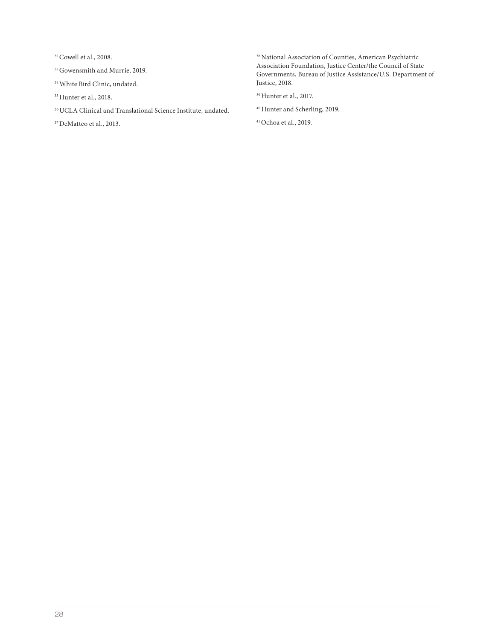32 Cowell et al., 2008.

- 33 Gowensmith and Murrie, 2019.
- 34 White Bird Clinic, undated.
- 35 Hunter et al., 2018.
- 36 UCLA Clinical and Translational Science Institute, undated.
- 37 DeMatteo et al., 2013.

38 National Association of Counties, American Psychiatric Association Foundation, Justice Center/the Council of State Governments, Bureau of Justice Assistance/U.S. Department of Justice, 2018.

39 Hunter et al., 2017.

40 Hunter and Scherling, 2019.

41 Ochoa et al., 2019.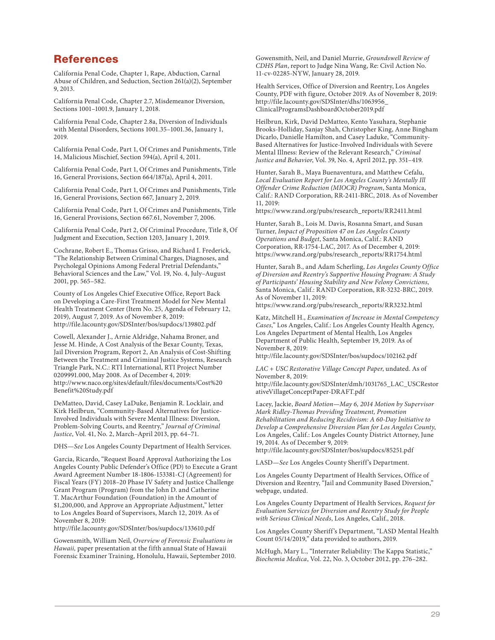# **References**

California Penal Code, Chapter 1, Rape, Abduction, Carnal Abuse of Children, and Seduction, Section 261(a)(2), September 9, 2013.

California Penal Code, Chapter 2.7, Misdemeanor Diversion, Sections 1001–1001.9, January 1, 2018.

California Penal Code, Chapter 2.8a, Diversion of Individuals with Mental Disorders, Sections 1001.35–1001.36, January 1, 2019.

California Penal Code, Part 1, Of Crimes and Punishments, Title 14, Malicious Mischief, Section 594(a), April 4, 2011.

California Penal Code, Part 1, Of Crimes and Punishments, Title 16, General Provisions, Section 664/187(a), April 4, 2011.

California Penal Code, Part 1, Of Crimes and Punishments, Title 16, General Provisions, Section 667, January 2, 2019.

California Penal Code, Part 1, Of Crimes and Punishments, Title 16, General Provisions, Section 667.61, November 7, 2006.

California Penal Code, Part 2, Of Criminal Procedure, Title 8, Of Judgment and Execution, Section 1203, January 1, 2019.

Cochrane, Robert E., Thomas Grisso, and Richard I. Frederick, "The Relationship Between Criminal Charges, Diagnoses, and Psycholegal Opinions Among Federal Pretrial Defendants," Behavioral Sciences and the Law," Vol. 19, No. 4, July–August 2001, pp. 565–582.

County of Los Angeles Chief Executive Office, Report Back on Developing a Care-First Treatment Model for New Mental Health Treatment Center (Item No. 25, Agenda of February 12, 2019), August 7, 2019. As of November 8, 2019: <http://file.lacounty.gov/SDSInter/bos/supdocs/139802.pdf>

Cowell, Alexander J., Arnie Aldridge, Nahama Broner, and Jesse M. Hinde, A Cost Analysis of the Bexar County, Texas, Jail Diversion Program, Report 2, An Analysis of Cost-Shifting Between the Treatment and Criminal Justice Systems, Research Triangle Park, N.C.: RTI International, RTI Project Number 0209991.000, May 2008. As of December 4, 2019: [http://www.naco.org/sites/default/files/documents/Cost%20](http://www.naco.org/sites/default/files/documents/Cost%20Benefit%20Study.pdf) Benefit%20Study.pdf

DeMatteo, David, Casey LaDuke, Benjamin R. Locklair, and Kirk Heilbrun, "Community-Based Alternatives for Justice-Involved Individuals with Severe Mental Illness: Diversion, Problem-Solving Courts, and Reentry," *Journal of Criminal Justice*, Vol. 41, No. 2, March–April 2013, pp. 64–71.

DHS—*See* Los Angeles County Department of Health Services.

Garcia, Ricardo, "Request Board Approval Authorizing the Los Angeles County Public Defender's Office (PD) to Execute a Grant Award Agreement Number 18-1806-153381-CJ (Agreement) for Fiscal Years (FY) 2018–20 Phase IV Safety and Justice Challenge Grant Program (Program) from the John D. and Catherine T. MacArthur Foundation (Foundation) in the Amount of \$1,200,000, and Approve an Appropriate Adjustment," letter to Los Angeles Board of Supervisors, March 12, 2019. As of November 8, 2019:

<http://file.lacounty.gov/SDSInter/bos/supdocs/133610.pdf>

Gowensmith, William Neil, *Overview of Forensic Evaluations in Hawaii,* paper presentation at the fifth annual State of Hawaii Forensic Examiner Training, Honolulu, Hawaii, September 2010. Gowensmith, Neil, and Daniel Murrie, *Groundswell Review of CDHS Plan*, report to Judge Nina Wang, Re: Civil Action No. 11-cv-02285-NYW, January 28, 2019.

Health Services, Office of Diversion and Reentry, Los Angeles County, PDF with figure, October 2019. As of November 8, 2019: [http://file.lacounty.gov/SDSInter/dhs/1063956\\_](http://file.lacounty.gov/SDSInter/dhs/1063956_ClinicalProgramsDashboardOctober2019.pdf) ClinicalProgramsDashboardOctober2019.pdf

Heilbrun, Kirk, David DeMatteo, Kento Yasuhara, Stephanie Brooks-Holliday, Sanjay Shah, Christopher King, Anne Bingham Dicarlo, Danielle Hamilton, and Casey Laduke, "Community-Based Alternatives for Justice-Involved Individuals with Severe Mental Illness: Review of the Relevant Research," *Criminal Justice and Behavior*, Vol. 39, No. 4, April 2012, pp. 351–419.

Hunter, Sarah B., Maya Buenaventura, and Matthew Cefalu, *Local Evaluation Report for Los Angeles County's Mentally Ill Offender Crime Reduction (MIOCR) Program*, Santa Monica, Calif.: RAND Corporation, RR-2411-BRC, 2018. As of November 11, 2019:

[https://www.rand.org/pubs/research\\_reports/RR2411.html](https://www.rand.org/pubs/research_reports/RR2411.html)

Hunter, Sarah B., Lois M. Davis, Rosanna Smart, and Susan Turner, *Impact of Proposition 47 on Los Angeles County Operations and Budget*, Santa Monica, Calif.: RAND Corporation, RR-1754-LAC, 2017. As of December 4, 2019: [https://www.rand.org/pubs/research\\_reports/RR1754.html](https://www.rand.org/pubs/research_reports/RR1754.html)

Hunter, Sarah B., and Adam Scherling, *Los Angeles County Office of Diversion and Reentry's Supportive Housing Program: A Study of Participants' Housing Stability and New Felony Convictions*, Santa Monica, Calif.: RAND Corporation, RR-3232-BRC, 2019. As of November 11, 2019:

[https://www.rand.org/pubs/research\\_reports/RR3232.html](https://www.rand.org/pubs/research_reports/RR3232.html)

Katz, Mitchell H., *Examination of Increase in Mental Competency Cases*," Los Angeles, Calif.: Los Angeles County Health Agency, Los Angeles Department of Mental Health, Los Angeles Department of Public Health, September 19, 2019. As of November 8, 2019:

<http://file.lacounty.gov/SDSInter/bos/supdocs/102162.pdf>

*LAC + USC Restorative Village Concept Paper*, undated. As of November 8, 2019:

[http://file.lacounty.gov/SDSInter/dmh/1031765\\_LAC\\_USCRestor](http://file.lacounty.gov/SDSInter/dmh/1031765_LAC_USCRestorativeVillageConceptPaper-DRAFT.pdf) ativeVillageConceptPaper-DRAFT.pdf

Lacey, Jackie, *Board Motion—May 6, 2014 Motion by Supervisor Mark Ridley-Thomas Providing Treatment, Promotion Rehabilitation and Reducing Recidivism: A 60-Day Initiative to Develop a Comprehensive Diversion Plan for Los Angeles County*, Los Angeles, Calif.: Los Angeles County District Attorney, June 19, 2014. As of December 9, 2019:

<http://file.lacounty.gov/SDSInter/bos/supdocs/85251.pdf>

LASD—*See* Los Angeles County Sheriff's Department.

Los Angeles County Department of Health Services, Office of Diversion and Reentry, "Jail and Community Based Diversion," webpage, undated.

[Los Angeles County D](https://bit.ly/2E3r4sI)epartment of Health Services, *Request for Evaluation Services for Diversion and Reentry Study for People with Serious Clinical Needs*, Los Angeles, Calif., 2018.

Los Angeles County Sheriff's Department, "LASD Mental Health Count 05/14/2019," data provided to authors, 2019.

McHugh, Mary L., "Interrater Reliability: The Kappa Statistic," *Biochemia Medica*, Vol. 22, No. 3, October 2012, pp. 276–282.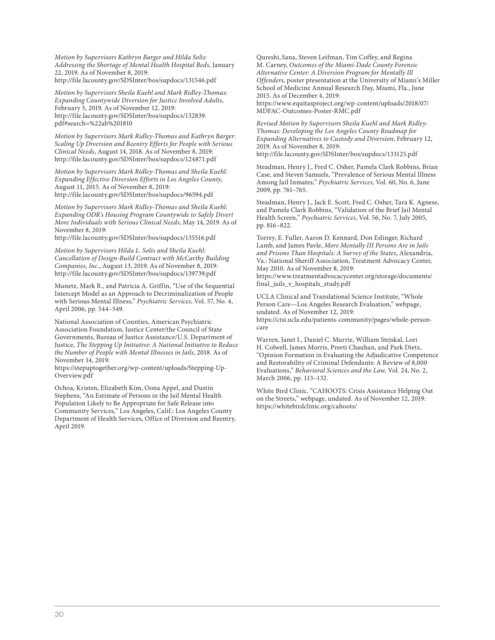*Motion by Supervisors Kathryn Barger and Hilda Solis: Addressing the Shortage of Mental Health Hospital Beds*, January 22, 2019. As of November 8, 2019: <http://file.lacounty.gov/SDSInter/bos/supdocs/131546.pdf>

*Motion by Supervisors Sheila Kuehl and Mark Ridley-Thomas: Expanding Countywide Diversion for Justice Involved Adults*, February 5, 2019. As of November 12, 2019: [http://file.lacounty.gov/SDSInter/bos/supdocs/132839.](http://file.lacounty.gov/SDSInter/bos/supdocs/132839.pdf#search=%22ab%201810) pdf#search=%22ab%201810

*Motion by Supervisors Mark Ridley-Thomas and Kathryn Barger: Scaling Up Diversion and Reentry Efforts for People with Serious Clinical Needs*, August 14, 2018. As of November 8, 2019: <http://file.lacounty.gov/SDSInter/bos/supdocs/124871.pdf>

*Motion by Supervisors Mark Ridley-Thomas and Sheila Kuehl: Expanding Effective Diversion Efforts in Los Angeles County*, August 11, 2015. As of November 8, 2019: <http://file.lacounty.gov/SDSInter/bos/supdocs/96594.pdf>

*Motion by Supervisors Mark Ridley-Thomas and Sheila Kuehl: Expanding ODR's Housing Program Countywide to Safely Divert More Individuals with Serious Clinical Needs*, May 14, 2019. As of November 8, 2019:

<http://file.lacounty.gov/SDSInter/bos/supdocs/135516.pdf>

*Motion by Supervisors Hilda L. Solis and Sheila Kuehl: Cancellation of Design-Build Contract with McCarthy Building Companies, Inc.*, August 13, 2019. As of November 8, 2019: <http://file.lacounty.gov/SDSInter/bos/supdocs/139739.pdf>

Munetz, Mark R., and Patricia A. Griffin, "Use of the Sequential Intercept Model as an Approach to Decriminalization of People with Serious Mental Illness," *Psychiatric Services*, Vol. 57, No. 4, April 2006, pp. 544–549.

National Association of Counties, American Psychiatric Association Foundation, Justice Center/the Council of State Governments, Bureau of Justice Assistance/U.S. Department of Justice, *The Stepping Up Initiative: A National Initiative to Reduce the Number of People with Mental Illnesses in Jails*, 2018. As of November 14, 2019:

[https://stepuptogether.org/wp-content/uploads/Stepping-Up-](https://stepuptogether.org/wp-content/uploads/Stepping-Up-Overview.pdf)Overview.pdf

Ochoa, Kristen, Elizabeth Kim, Oona Appel, and Dustin Stephens, "An Estimate of Persons in the Jail Mental Health Population Likely to Be Appropriate for Safe Release into Community Services," Los Angeles, Calif.: Los Angeles County Department of Health Services, Office of Diversion and Reentry, April 2019.

Qureshi, Sana, Steven Leifman, Tim Coffey, and Regina M. Carney, *Outcomes of the Miami-Dade County Forensic Alternative Center: A Diversion Program for Mentally Ill Offenders*, poster presentation at the University of Miami's Miller School of Medicine Annual Research Day, Miami, Fla., June 2015. As of December 4, 2019: [https://www.equitasproject.org/wp-content/uploads/2018/07/](https://www.equitasproject.org/wp-content/uploads/2018/07/MDFAC-Outcomes-Poster-RMC.pdf) MDFAC-Outcomes-Poster-RMC.pdf

*Revised Motion by Supervisors Sheila Kuehl and Mark Ridley-Thomas: Developing the Los Angeles County Roadmap for Expanding Alternatives to Custody and Diversion*, February 12, 2019. As of November 8, 2019: <http://file.lacounty.gov/SDSInter/bos/supdocs/133125.pdf>

Steadman, Henry J., Fred C. Osher, Pamela Clark Robbins, Brian Case, and Steven Samuels, "Prevalence of Serious Mental Illness Among Jail Inmates," *Psychiatric Services*, Vol. 60, No. 6, June 2009, pp. 761–765.

Steadman, Henry J., Jack E. Scott, Fred C. Osher, Tara K. Agnese, and Pamela Clark Robbins, "Validation of the Brief Jail Mental Health Screen," *Psychiatric Services*, Vol. 56, No. 7, July 2005, pp. 816–822.

Torrey, E. Fuller, Aaron D. Kennard, Don Eslinger, Richard Lamb, and James Pavle, *More Mentally III Persons Are in Jails and Prisons Than Hospitals: A Survey of the States*, Alexandria, Va.: National Sheriff Association, Treatment Advocacy Center, May 2010. As of November 8, 2019:

[https://www.treatmentadvocacycenter.org/storage/documents/](https://www.treatmentadvocacycenter.org/storage/documents/final_jails_v_hospitals_study.pdf) final\_jails\_v\_hospitals\_study.pdf

UCLA Clinical and Translational Science Institute, "Whole Person Care—Los Angeles Research Evaluation," webpage, undated. As of November 12, 2019:

[https://ctsi.ucla.edu/patients-community/pages/whole-person](https://ctsi.ucla.edu/patients-community/pages/whole-person-care)care

Warren, Janet I., Daniel C. Murrie, William Stejskal, Lori H. Colwell, James Morris, Preeti Chauhan, and Park Dietz, "Opinion Formation in Evaluating the Adjudicative Competence and Restorability of Criminal Defendants: A Review of 8,000 Evaluations," *Behavioral Sciences and the Law,* Vol. 24, No. 2, March 2006, pp. 113–132.

White Bird Clinic, "CAHOOTS: Crisis Assistance Helping Out on the Streets," webpage, undated. As of November 12, 2019: <https://whitebirdclinic.org/cahoots/>